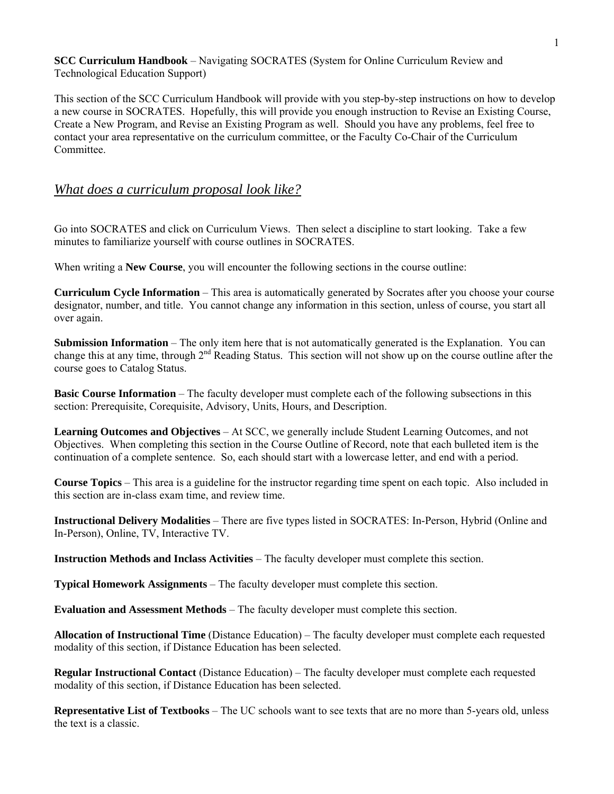**SCC Curriculum Handbook** – Navigating SOCRATES (System for Online Curriculum Review and Technological Education Support)

This section of the SCC Curriculum Handbook will provide with you step-by-step instructions on how to develop a new course in SOCRATES. Hopefully, this will provide you enough instruction to Revise an Existing Course, Create a New Program, and Revise an Existing Program as well. Should you have any problems, feel free to contact your area representative on the curriculum committee, or the Faculty Co-Chair of the Curriculum Committee.

#### *What does a curriculum proposal look like?*

Go into SOCRATES and click on Curriculum Views. Then select a discipline to start looking. Take a few minutes to familiarize yourself with course outlines in SOCRATES.

When writing a **New Course**, you will encounter the following sections in the course outline:

**Curriculum Cycle Information** – This area is automatically generated by Socrates after you choose your course designator, number, and title. You cannot change any information in this section, unless of course, you start all over again.

**Submission Information** – The only item here that is not automatically generated is the Explanation. You can change this at any time, through  $2<sup>nd</sup>$  Reading Status. This section will not show up on the course outline after the course goes to Catalog Status.

**Basic Course Information** – The faculty developer must complete each of the following subsections in this section: Prerequisite, Corequisite, Advisory, Units, Hours, and Description.

**Learning Outcomes and Objectives** – At SCC, we generally include Student Learning Outcomes, and not Objectives. When completing this section in the Course Outline of Record, note that each bulleted item is the continuation of a complete sentence. So, each should start with a lowercase letter, and end with a period.

**Course Topics** – This area is a guideline for the instructor regarding time spent on each topic. Also included in this section are in-class exam time, and review time.

**Instructional Delivery Modalities** – There are five types listed in SOCRATES: In-Person, Hybrid (Online and In-Person), Online, TV, Interactive TV.

**Instruction Methods and Inclass Activities** – The faculty developer must complete this section.

**Typical Homework Assignments** – The faculty developer must complete this section.

**Evaluation and Assessment Methods** – The faculty developer must complete this section.

**Allocation of Instructional Time** (Distance Education) – The faculty developer must complete each requested modality of this section, if Distance Education has been selected.

**Regular Instructional Contact** (Distance Education) – The faculty developer must complete each requested modality of this section, if Distance Education has been selected.

**Representative List of Textbooks** – The UC schools want to see texts that are no more than 5-years old, unless the text is a classic.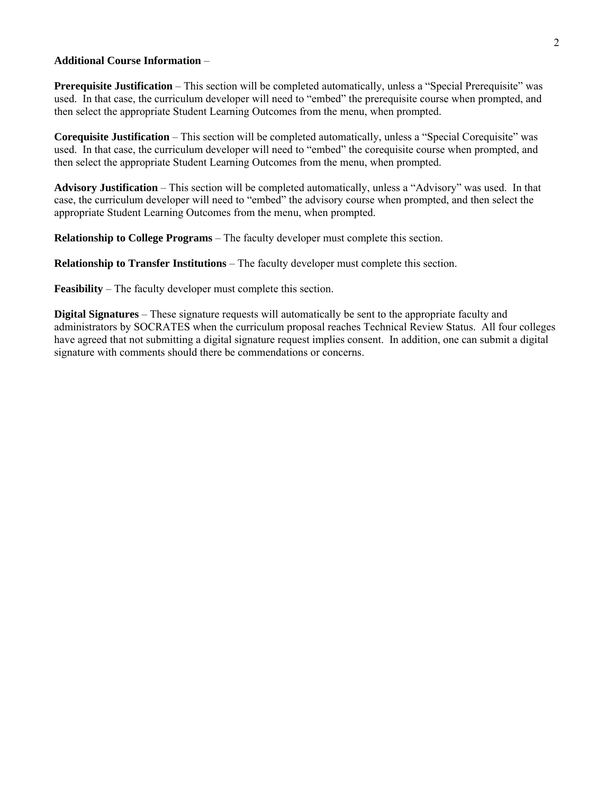#### **Additional Course Information** –

**Prerequisite Justification** – This section will be completed automatically, unless a "Special Prerequisite" was used. In that case, the curriculum developer will need to "embed" the prerequisite course when prompted, and then select the appropriate Student Learning Outcomes from the menu, when prompted.

**Corequisite Justification** – This section will be completed automatically, unless a "Special Corequisite" was used. In that case, the curriculum developer will need to "embed" the corequisite course when prompted, and then select the appropriate Student Learning Outcomes from the menu, when prompted.

**Advisory Justification** – This section will be completed automatically, unless a "Advisory" was used. In that case, the curriculum developer will need to "embed" the advisory course when prompted, and then select the appropriate Student Learning Outcomes from the menu, when prompted.

**Relationship to College Programs** – The faculty developer must complete this section.

**Relationship to Transfer Institutions** – The faculty developer must complete this section.

**Feasibility** – The faculty developer must complete this section.

**Digital Signatures** – These signature requests will automatically be sent to the appropriate faculty and administrators by SOCRATES when the curriculum proposal reaches Technical Review Status. All four colleges have agreed that not submitting a digital signature request implies consent. In addition, one can submit a digital signature with comments should there be commendations or concerns.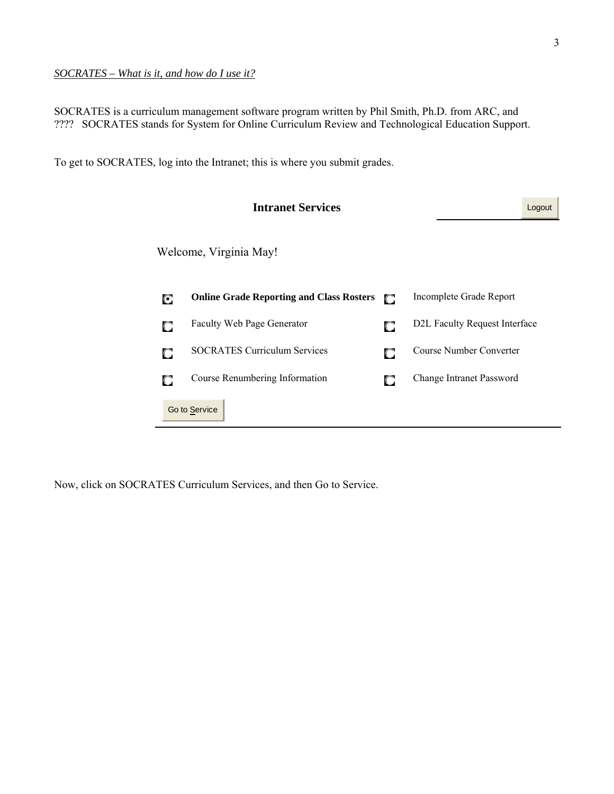### *SOCRATES – What is it, and how do I use it?*

SOCRATES is a curriculum management software program written by Phil Smith, Ph.D. from ARC, and ???? SOCRATES stands for System for Online Curriculum Review and Technological Education Support.

To get to SOCRATES, log into the Intranet; this is where you submit grades.

|   | <b>Intranet Services</b>                        |   |                                            | Logout |
|---|-------------------------------------------------|---|--------------------------------------------|--------|
|   | Welcome, Virginia May!                          |   |                                            |        |
| О | <b>Online Grade Reporting and Class Rosters</b> | n | Incomplete Grade Report                    |        |
| O | <b>Faculty Web Page Generator</b>               | O | D <sub>2</sub> L Faculty Request Interface |        |
| О | <b>SOCRATES Curriculum Services</b>             | O | Course Number Converter                    |        |
|   | Course Renumbering Information                  | O | Change Intranet Password                   |        |
|   | Go to Service                                   |   |                                            |        |

Now, click on SOCRATES Curriculum Services, and then Go to Service.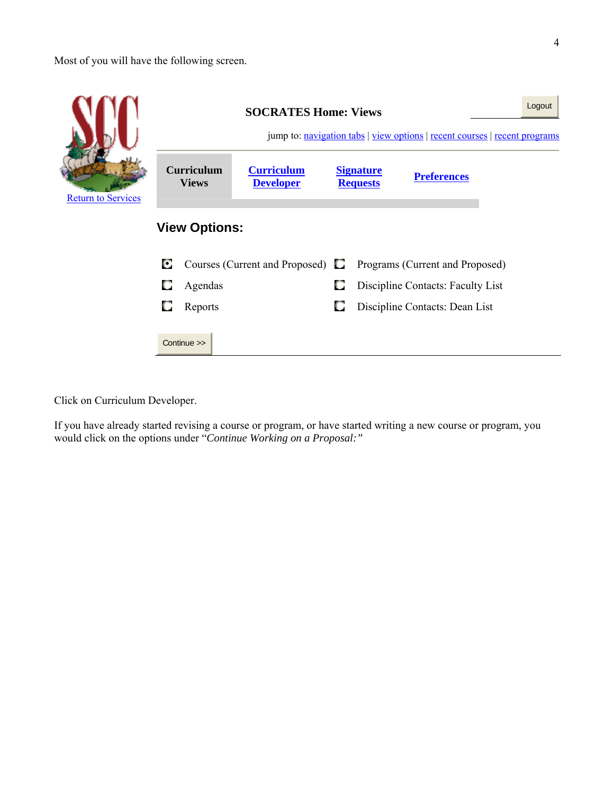Most of you will have the following screen.



Click on Curriculum Developer.

If you have already started revising a course or program, or have started writing a new course or program, you would click on the options under "*Continue Working on a Proposal:"*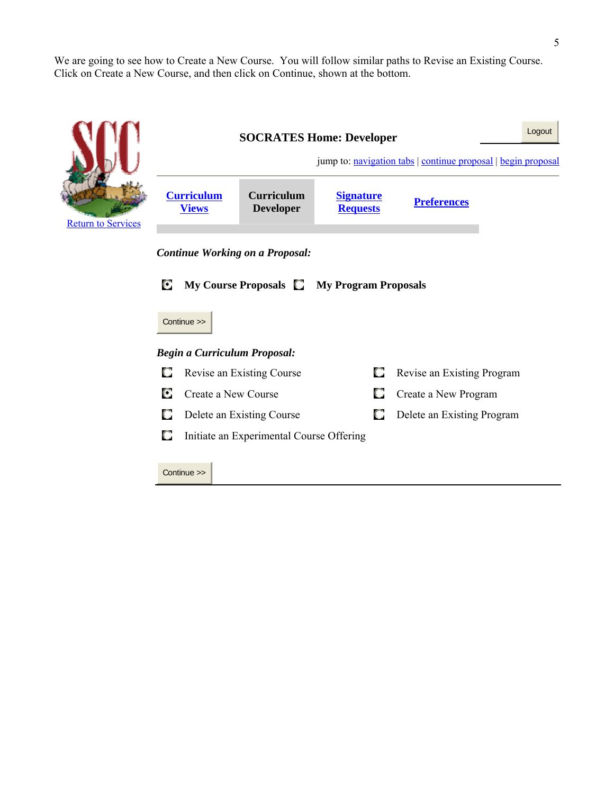We are going to see how to Create a New Course. You will follow similar paths to Revise an Existing Course. Click on Create a New Course, and then click on Continue, shown at the bottom.

|                           | Logout<br><b>SOCRATES Home: Developer</b><br>jump to: navigation tabs   continue proposal   begin proposal                              |                                          |   |                            |  |  |  |  |
|---------------------------|-----------------------------------------------------------------------------------------------------------------------------------------|------------------------------------------|---|----------------------------|--|--|--|--|
| <b>Return to Services</b> | <b>Curriculum</b><br><b>Curriculum</b><br><b>Signature</b><br><b>Preferences</b><br><b>Developer</b><br><b>Requests</b><br><b>Views</b> |                                          |   |                            |  |  |  |  |
|                           | <b>Continue Working on a Proposal:</b>                                                                                                  |                                          |   |                            |  |  |  |  |
|                           | О<br>My Course Proposals <b>C</b> My Program Proposals<br>Continue >>                                                                   |                                          |   |                            |  |  |  |  |
|                           |                                                                                                                                         | <b>Begin a Curriculum Proposal:</b>      |   |                            |  |  |  |  |
|                           | O                                                                                                                                       | Revise an Existing Course                | o | Revise an Existing Program |  |  |  |  |
|                           | С<br>Create a New Course                                                                                                                | Create a New Program                     |   |                            |  |  |  |  |
|                           | О<br>Delete an Existing Course                                                                                                          | Delete an Existing Program               |   |                            |  |  |  |  |
|                           | O                                                                                                                                       | Initiate an Experimental Course Offering |   |                            |  |  |  |  |
|                           | Continue >>                                                                                                                             |                                          |   |                            |  |  |  |  |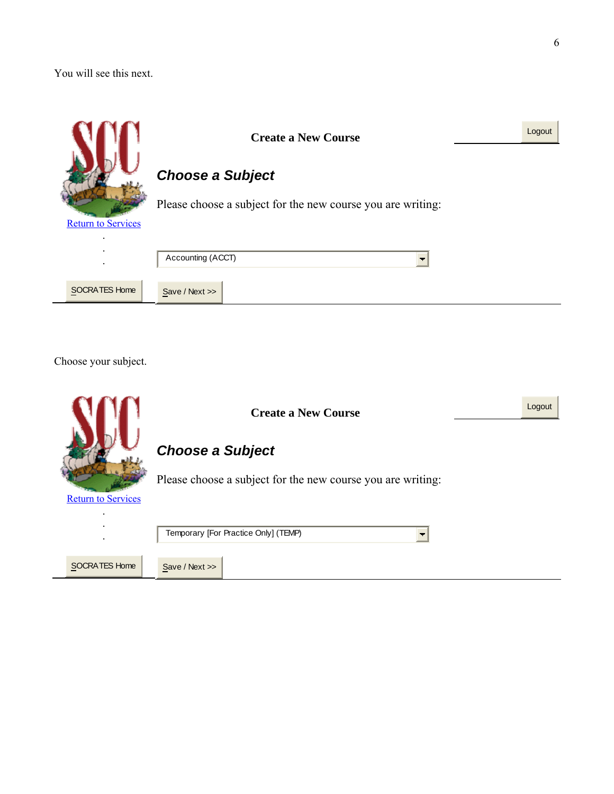You will see this next.

|                           | <b>Create a New Course</b>                                  | Logout |
|---------------------------|-------------------------------------------------------------|--------|
|                           | <b>Choose a Subject</b>                                     |        |
| <b>Return to Services</b> | Please choose a subject for the new course you are writing: |        |
| $\bullet$                 | Accounting (ACCT)                                           |        |
| SOCRATES Home             | Save / Next >>                                              |        |

Choose your subject.

|                           | Logout<br><b>Create a New Course</b>                        |
|---------------------------|-------------------------------------------------------------|
|                           | <b>Choose a Subject</b>                                     |
| <b>Return to Services</b> | Please choose a subject for the new course you are writing: |
|                           | Temporary [For Practice Only] (TEMP)                        |
| <b>SOCRATES Home</b>      | Save / Next >>                                              |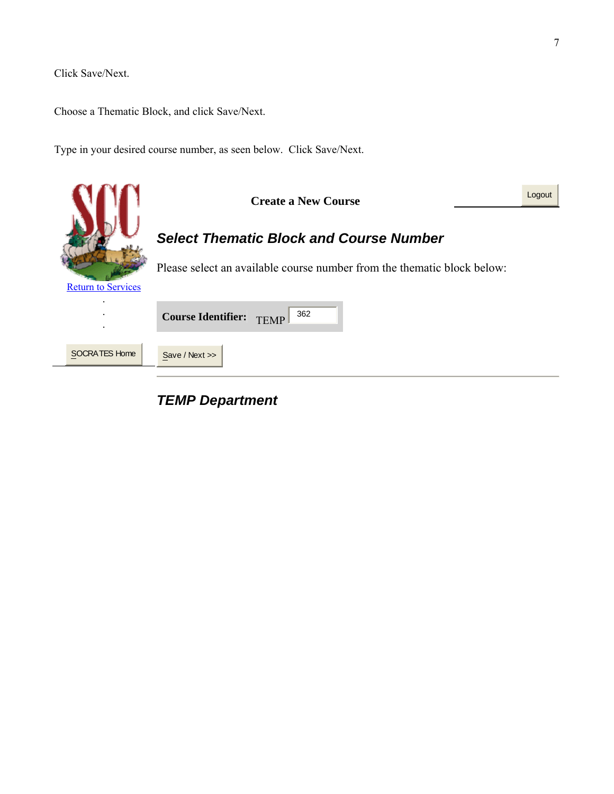Click Save/Next.

Choose a Thematic Block, and click Save/Next.

Type in your desired course number, as seen below. Click Save/Next.



# *TEMP Department*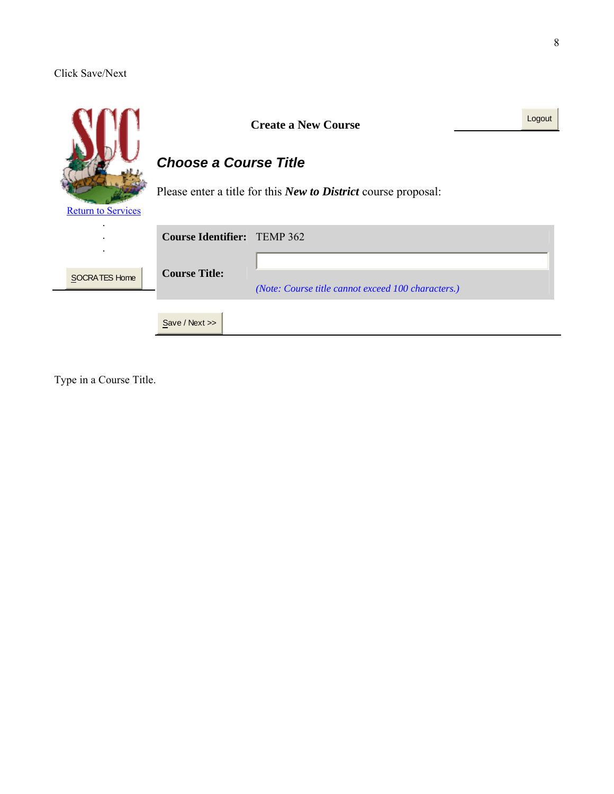### Click Save/Next

|                           |                                    | <b>Create a New Course</b>                                            |  |  |  |  |
|---------------------------|------------------------------------|-----------------------------------------------------------------------|--|--|--|--|
|                           | <b>Choose a Course Title</b>       |                                                                       |  |  |  |  |
| <b>Return to Services</b> |                                    | Please enter a title for this <i>New to District</i> course proposal: |  |  |  |  |
|                           | <b>Course Identifier:</b> TEMP 362 |                                                                       |  |  |  |  |
| <b>SOCRATES Home</b>      | <b>Course Title:</b>               | (Note: Course title cannot exceed 100 characters.)                    |  |  |  |  |
|                           | Save / Next >>                     |                                                                       |  |  |  |  |

Type in a Course Title.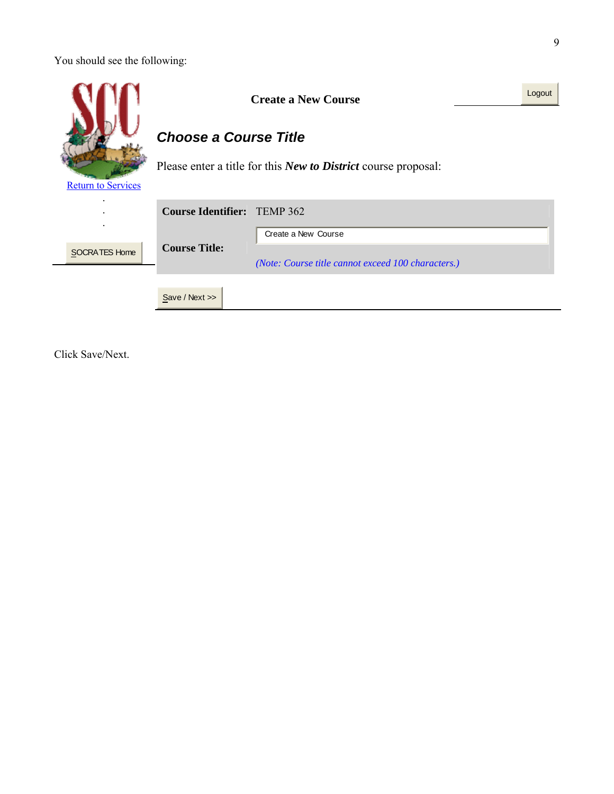You should see the following:

|                                                                                                    | <b>Create a New Course</b>         |                                                                           |  |  |  |  |  |
|----------------------------------------------------------------------------------------------------|------------------------------------|---------------------------------------------------------------------------|--|--|--|--|--|
|                                                                                                    | <b>Choose a Course Title</b>       |                                                                           |  |  |  |  |  |
| Please enter a title for this <i>New to District</i> course proposal:<br><b>Return to Services</b> |                                    |                                                                           |  |  |  |  |  |
|                                                                                                    | <b>Course Identifier:</b> TEMP 362 |                                                                           |  |  |  |  |  |
| SOCRATES Home                                                                                      | <b>Course Title:</b>               | Create a New Course<br>(Note: Course title cannot exceed 100 characters.) |  |  |  |  |  |
|                                                                                                    | Save / Next                        |                                                                           |  |  |  |  |  |

Click Save/Next.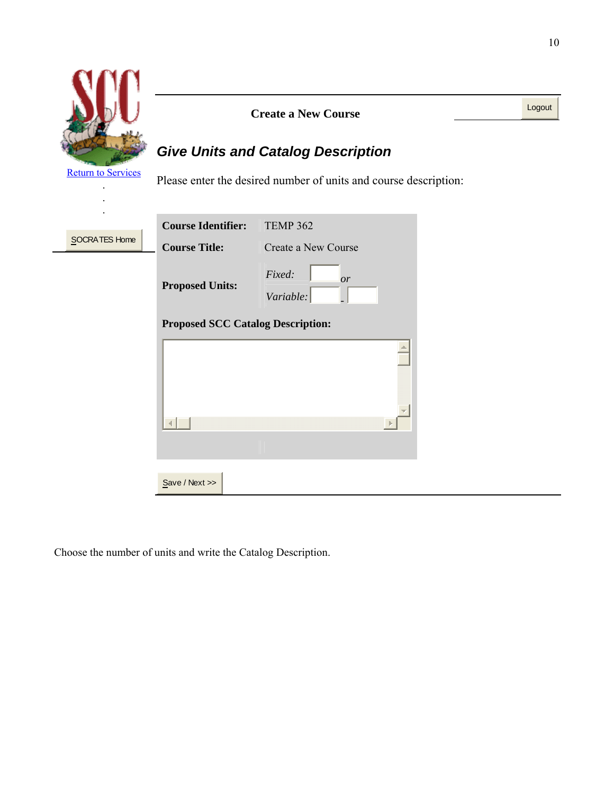|                           |                                          | <b>Create a New Course</b>                                       | Logout |
|---------------------------|------------------------------------------|------------------------------------------------------------------|--------|
|                           |                                          | <b>Give Units and Catalog Description</b>                        |        |
| <b>Return to Services</b> |                                          | Please enter the desired number of units and course description: |        |
|                           |                                          |                                                                  |        |
| SOCRATES Home             | <b>Course Identifier:</b>                | <b>TEMP 362</b>                                                  |        |
|                           | <b>Course Title:</b>                     | Create a New Course                                              |        |
|                           | <b>Proposed Units:</b>                   | Fixed:<br><sub>or</sub><br>Variable:                             |        |
|                           | <b>Proposed SCC Catalog Description:</b> |                                                                  |        |
|                           |                                          |                                                                  |        |
|                           | Save / Next                              |                                                                  |        |

Choose the number of units and write the Catalog Description.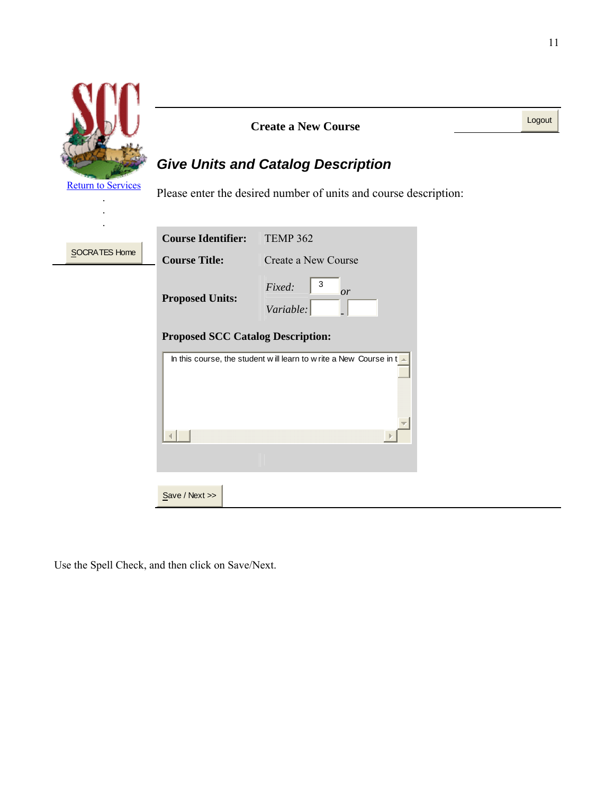

Use the Spell Check, and then click on Save/Next.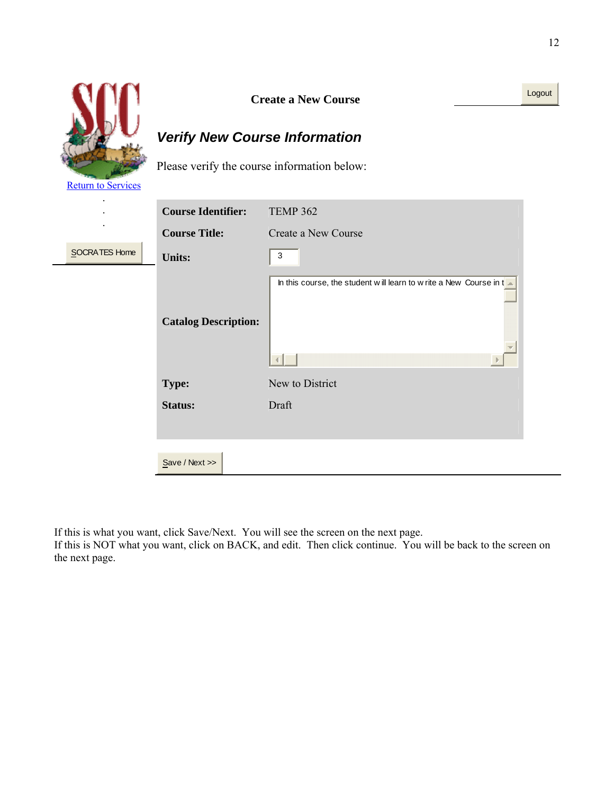

# *Verify New Course Information*

Please verify the course information below:

**Return to Services** 

**SOCRA** 

|                 | <b>Course Identifier:</b>   | <b>TEMP 362</b>                                                   |
|-----------------|-----------------------------|-------------------------------------------------------------------|
| ٠               | <b>Course Title:</b>        | Create a New Course                                               |
| <b>TES Home</b> | <b>Units:</b>               | 3                                                                 |
|                 | <b>Catalog Description:</b> | In this course, the student will learn to write a New Course in t |
|                 | Type:                       | New to District                                                   |
|                 | <b>Status:</b>              | Draft                                                             |
|                 | Save / Next >>              |                                                                   |

If this is what you want, click Save/Next. You will see the screen on the next page.

If this is NOT what you want, click on BACK, and edit. Then click continue. You will be back to the screen on the next page.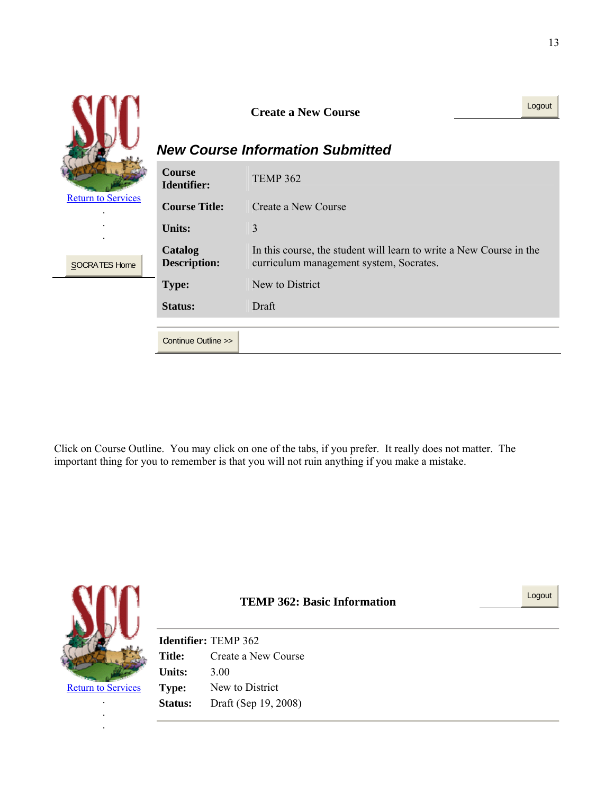|                           |                                     | <b>Create a New Course</b><br><b>New Course Information Submitted</b>                                          | Logout |
|---------------------------|-------------------------------------|----------------------------------------------------------------------------------------------------------------|--------|
|                           | <b>Course</b><br><b>Identifier:</b> | <b>TEMP 362</b>                                                                                                |        |
| <b>Return to Services</b> | <b>Course Title:</b>                | Create a New Course                                                                                            |        |
|                           | <b>Units:</b>                       | 3                                                                                                              |        |
| SOCRATES Home             | Catalog<br><b>Description:</b>      | In this course, the student will learn to write a New Course in the<br>curriculum management system, Socrates. |        |
|                           | Type:                               | New to District                                                                                                |        |
|                           | <b>Status:</b>                      | Draft                                                                                                          |        |
|                           |                                     |                                                                                                                |        |
|                           | Continue Outline >>                 |                                                                                                                |        |

Click on Course Outline. You may click on one of the tabs, if you prefer. It really does not matter. The important thing for you to remember is that you will not ruin anything if you make a mistake.



**TEMP 362: Basic Information Logout Logout** 

**Return to Services** .

> . .

**Identifier:** TEMP 362 **Title:** Create a New Course **Units:** 3.00 **Type:** New to District **Status:** Draft (Sep 19, 2008)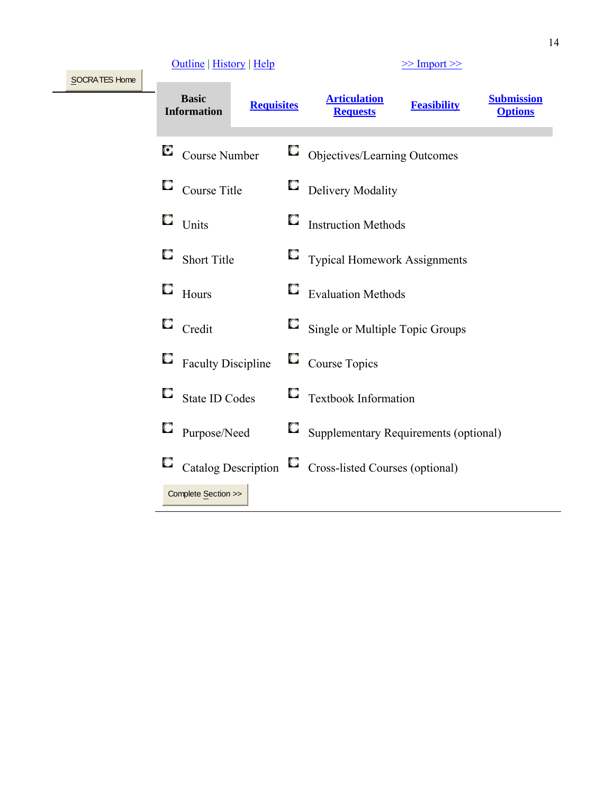# $\frac{\text{Outline}}{\text{Number}}$  | History | Help  $\frac{\text{148}}{\text{148}}$  |  $\frac{\text{148}}{\text{148}}$  |  $\frac{\text{148}}{\text{148}}$  |  $\frac{\text{148}}{\text{148}}$  |  $\frac{\text{148}}{\text{148}}$  |  $\frac{\text{148}}{\text{148}}$  |  $\frac{\text{148}}{\text{148}}$  |  $\frac{\text{148}}{\text{148}}$  |  $\frac{\text{148}}{\text{148}}$  |

SOCRATES Home

| <b>Basic</b><br><b>Requisites</b><br><b>Information</b> | <b>Articulation</b><br><b>Submission</b><br><b>Feasibility</b><br><b>Requests</b><br><b>Options</b> |
|---------------------------------------------------------|-----------------------------------------------------------------------------------------------------|
| О<br>Course Number                                      | Objectives/Learning Outcomes                                                                        |
| Course Title                                            | <b>Delivery Modality</b>                                                                            |
| Units                                                   | <b>Instruction Methods</b>                                                                          |
| <b>Short Title</b>                                      | <b>Typical Homework Assignments</b>                                                                 |
| Hours                                                   | <b>Evaluation Methods</b>                                                                           |
| Credit                                                  | Single or Multiple Topic Groups                                                                     |
| <b>Faculty Discipline</b>                               | $\Box$ Course Topics                                                                                |
| <b>State ID Codes</b>                                   | Textbook Information                                                                                |
| Purpose/Need                                            | Supplementary Requirements (optional)                                                               |
| Catalog Description                                     | $\Box$ Cross-listed Courses (optional)                                                              |
| Complete Section >>                                     |                                                                                                     |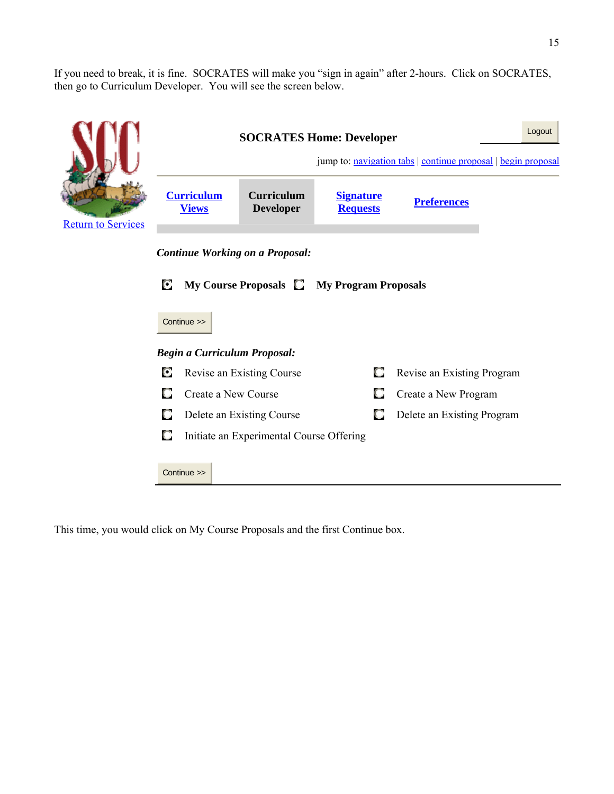If you need to break, it is fine. SOCRATES will make you "sign in again" after 2-hours. Click on SOCRATES, then go to Curriculum Developer. You will see the screen below.

|                           | <b>SOCRATES Home: Developer</b><br>jump to: navigation tabs   continue proposal   begin proposal |                                          |   |                            |  |  |  |  |  |
|---------------------------|--------------------------------------------------------------------------------------------------|------------------------------------------|---|----------------------------|--|--|--|--|--|
| <b>Return to Services</b> | <b>Curriculum</b><br><b>Views</b>                                                                |                                          |   |                            |  |  |  |  |  |
|                           | <b>Continue Working on a Proposal:</b>                                                           |                                          |   |                            |  |  |  |  |  |
|                           | С<br>My Course Proposals <b>C</b> My Program Proposals                                           |                                          |   |                            |  |  |  |  |  |
|                           | Continue >>                                                                                      |                                          |   |                            |  |  |  |  |  |
|                           | <b>Begin a Curriculum Proposal:</b>                                                              |                                          |   |                            |  |  |  |  |  |
|                           | О                                                                                                | Revise an Existing Course                | О | Revise an Existing Program |  |  |  |  |  |
|                           | O<br>Create a New Course                                                                         | Create a New Program                     |   |                            |  |  |  |  |  |
|                           | О<br>Delete an Existing Course<br>Delete an Existing Program                                     |                                          |   |                            |  |  |  |  |  |
|                           | О                                                                                                | Initiate an Experimental Course Offering |   |                            |  |  |  |  |  |
|                           | Continue >>                                                                                      |                                          |   |                            |  |  |  |  |  |

This time, you would click on My Course Proposals and the first Continue box.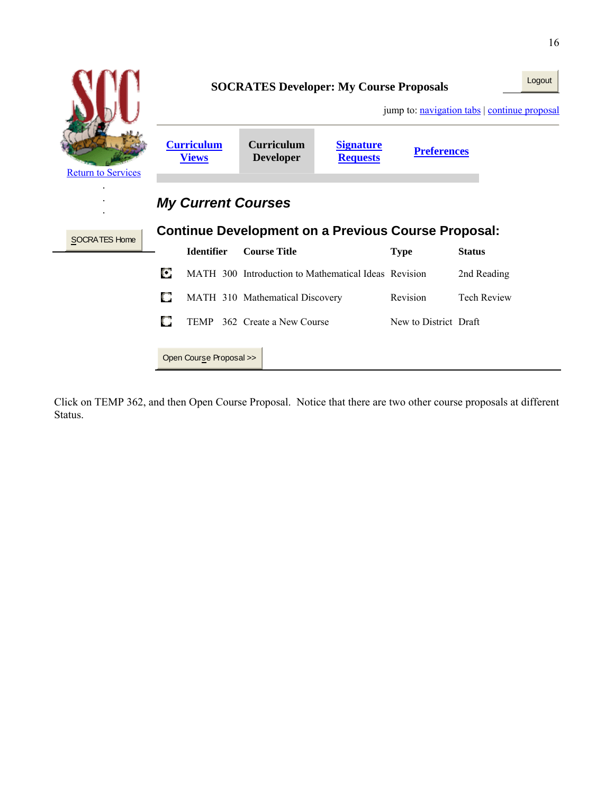|                           |                           |                                   |  | <b>SOCRATES Developer: My Course Proposals</b>             |                                     |                       | Logout<br>jump to: navigation tabs   continue proposal |  |
|---------------------------|---------------------------|-----------------------------------|--|------------------------------------------------------------|-------------------------------------|-----------------------|--------------------------------------------------------|--|
| <b>Return to Services</b> |                           | <b>Curriculum</b><br><b>Views</b> |  | <b>Curriculum</b><br><b>Developer</b>                      | <b>Signature</b><br><b>Requests</b> | <b>Preferences</b>    |                                                        |  |
|                           | <b>My Current Courses</b> |                                   |  |                                                            |                                     |                       |                                                        |  |
| SOCRATES Home             |                           |                                   |  | <b>Continue Development on a Previous Course Proposal:</b> |                                     |                       |                                                        |  |
|                           |                           | <b>Identifier</b>                 |  | <b>Course Title</b>                                        |                                     | <b>Type</b>           | <b>Status</b>                                          |  |
|                           | O                         |                                   |  | MATH 300 Introduction to Mathematical Ideas Revision       |                                     |                       | 2nd Reading                                            |  |
|                           | О                         |                                   |  | MATH 310 Mathematical Discovery                            |                                     | Revision              | <b>Tech Review</b>                                     |  |
|                           | O                         |                                   |  | TEMP 362 Create a New Course                               |                                     | New to District Draft |                                                        |  |
|                           |                           | Open Course Proposal >>           |  |                                                            |                                     |                       |                                                        |  |

Click on TEMP 362, and then Open Course Proposal. Notice that there are two other course proposals at different Status.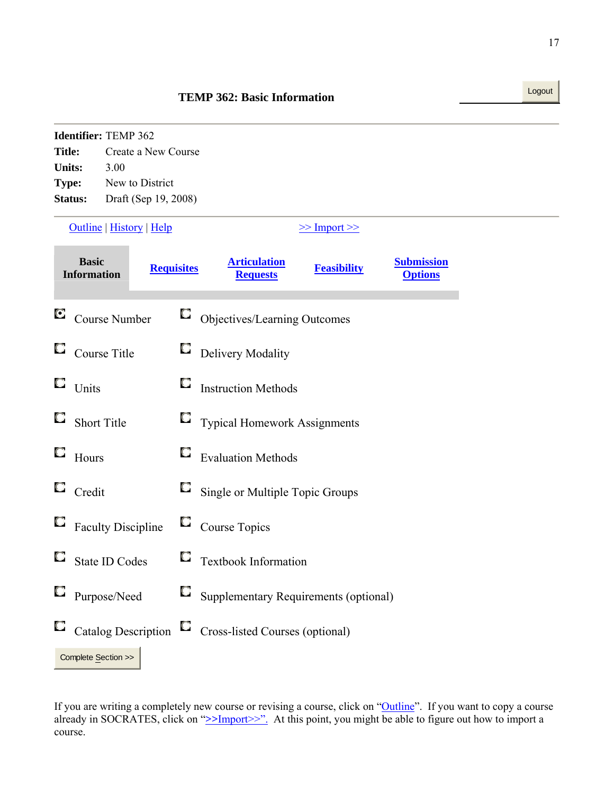# **Identifier:** TEMP 362 **Title:** Create a New Course **Units:** 3.00 **Type:** New to District **Status:** Draft (Sep 19, 2008)  $\frac{\text{Outline}}{\text{Number}}$  | History | Help  $\geq$  |  $\frac{\text{Number}}{\text{Number}}$ **Basic Requisites Requisites Requests Requests Feasibility Submission Options**

**TEMP 362: Basic Information Logout** 

|   | $\blacksquare$ Course Number | Objectives/Learning Outcomes                 |
|---|------------------------------|----------------------------------------------|
|   | $\Box$ Course Title          | $\Box$ Delivery Modality                     |
|   | $\Box$ Units                 | $\Box$ Instruction Methods                   |
|   | $\Box$ Short Title           | $\Box$ Typical Homework Assignments          |
| О | Hours                        | $\Box$ Evaluation Methods                    |
|   | $\Box$ Credit                | $\Box$ Single or Multiple Topic Groups       |
|   | $\Box$ Faculty Discipline    | $\Box$ Course Topics                         |
|   | $\Box$ State ID Codes        | $\Box$ Textbook Information                  |
|   | $\Box$ Purpose/Need          | $\Box$ Supplementary Requirements (optional) |
|   | $\Box$ Catalog Description   | $\Box$ Cross-listed Courses (optional)       |
|   | Complete Section >>          |                                              |

If you are writing a completely new course or revising a course, click on "Outline". If you want to copy a course already in SOCRATES, click on ">>Import>>". At this point, you might be able to figure out how to import a course.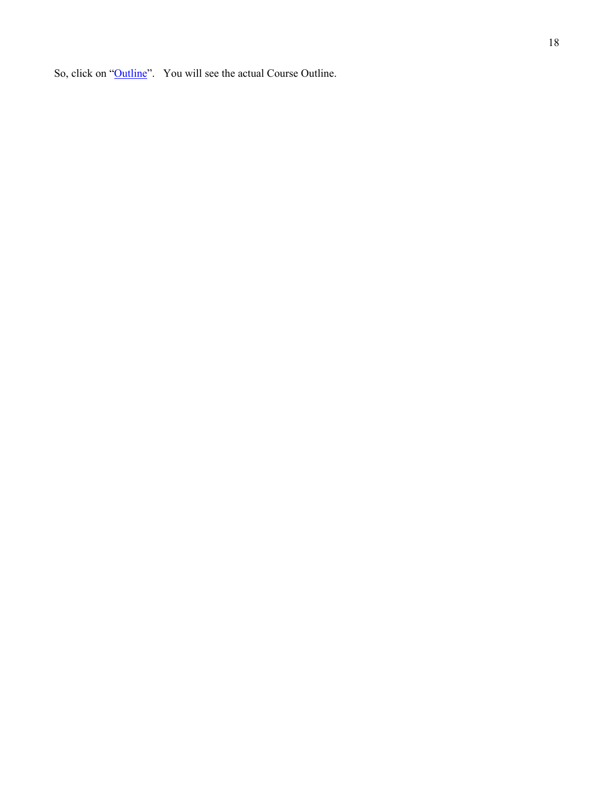So, click on "Outline". You will see the actual Course Outline.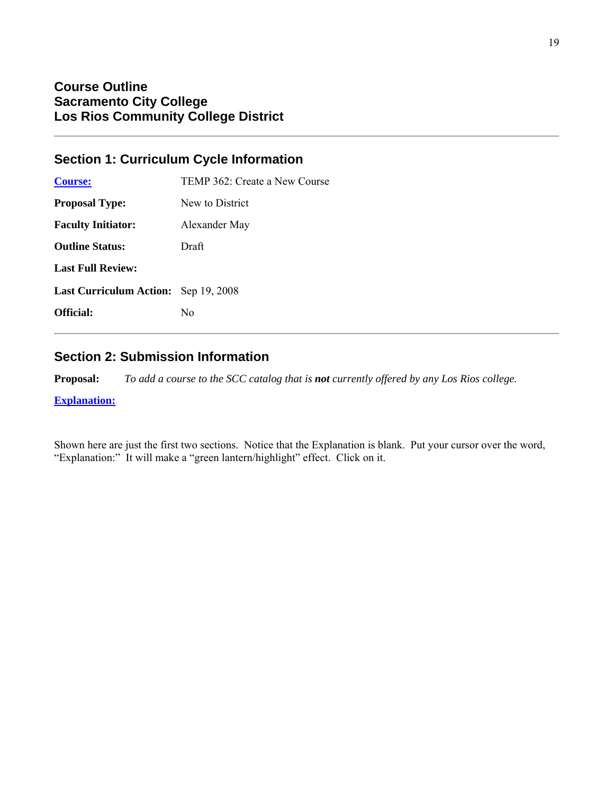# **Section 1: Curriculum Cycle Information**

| <b>Course:</b>                              | TEMP 362: Create a New Course |
|---------------------------------------------|-------------------------------|
| <b>Proposal Type:</b>                       | New to District               |
| <b>Faculty Initiator:</b>                   | Alexander May                 |
| <b>Outline Status:</b>                      | Draft                         |
| <b>Last Full Review:</b>                    |                               |
| <b>Last Curriculum Action:</b> Sep 19, 2008 |                               |
| Official:                                   | No                            |
|                                             |                               |

# **Section 2: Submission Information**

**Proposal:** *To add a course to the SCC catalog that is not currently offered by any Los Rios college.*

**Explanation:**

Shown here are just the first two sections. Notice that the Explanation is blank. Put your cursor over the word, "Explanation:" It will make a "green lantern/highlight" effect. Click on it.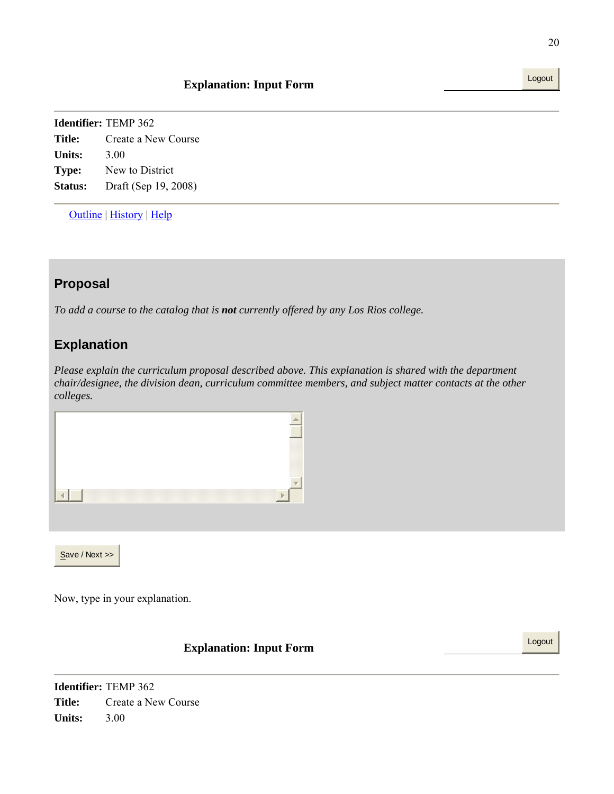Outline | History | Help

# **Proposal**

*To add a course to the catalog that is not currently offered by any Los Rios college.*

# **Explanation**

*Please explain the curriculum proposal described above. This explanation is shared with the department chair/designee, the division dean, curriculum committee members, and subject matter contacts at the other colleges.* 

| $\overline{\mathcal{M}}$<br>$\mathbb{R}$ |  |  |
|------------------------------------------|--|--|
|                                          |  |  |
|                                          |  |  |

Now, type in your explanation.

# **Explanation: Input Form** Logout

**Identifier:** TEMP 362 **Title:** Create a New Course **Units:** 3.00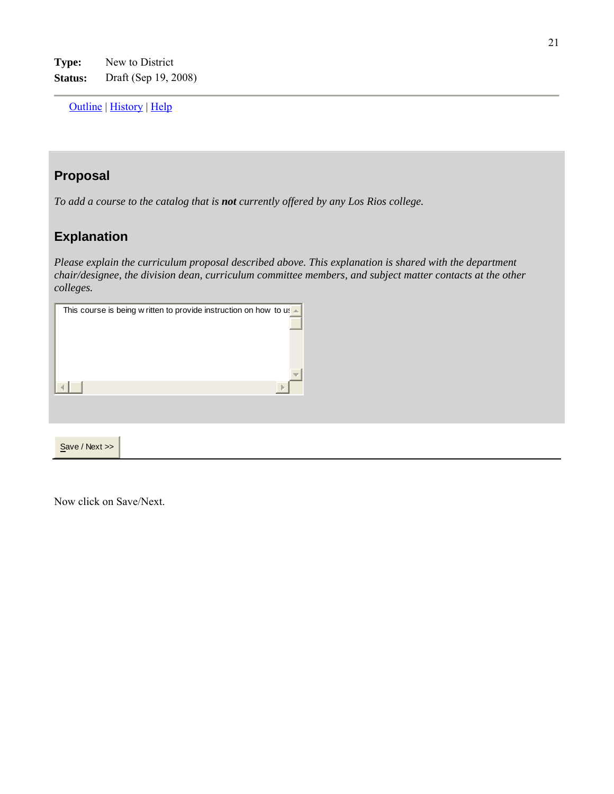Outline | History | Help

# **Proposal**

*To add a course to the catalog that is not currently offered by any Los Rios college.*

# **Explanation**

*Please explain the curriculum proposal described above. This explanation is shared with the department chair/designee, the division dean, curriculum committee members, and subject matter contacts at the other colleges.* 

| This course is being w ritten to provide instruction on how to us $\blacktriangle$ |
|------------------------------------------------------------------------------------|
|                                                                                    |
|                                                                                    |
|                                                                                    |
|                                                                                    |
| w                                                                                  |
|                                                                                    |
|                                                                                    |
|                                                                                    |
|                                                                                    |
| Save / Next >>                                                                     |

Now click on Save/Next.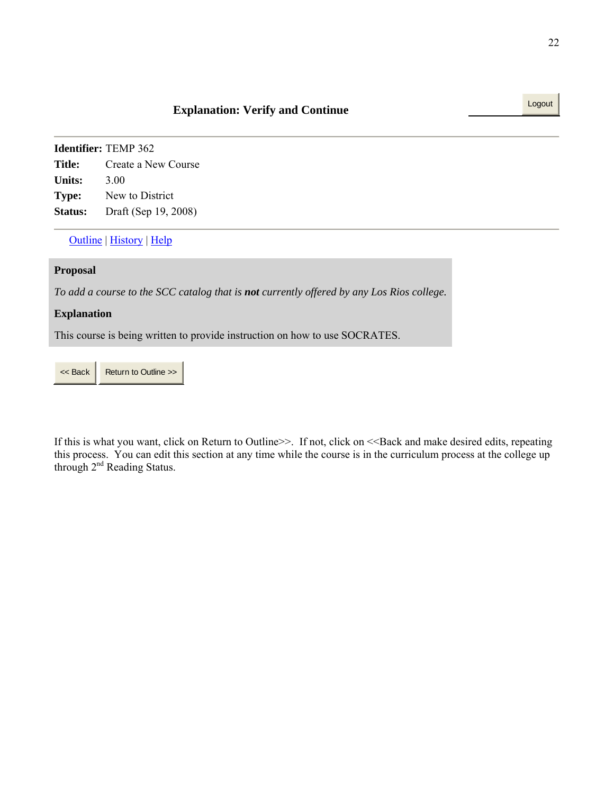Outline | History | Help

#### **Proposal**

*To add a course to the SCC catalog that is not currently offered by any Los Rios college.*

#### **Explanation**

This course is being written to provide instruction on how to use SOCRATES.

<< Back Return to Outline >>

If this is what you want, click on Return to Outline>>. If not, click on <<Back and make desired edits, repeating this process. You can edit this section at any time while the course is in the curriculum process at the college up through 2<sup>nd</sup> Reading Status.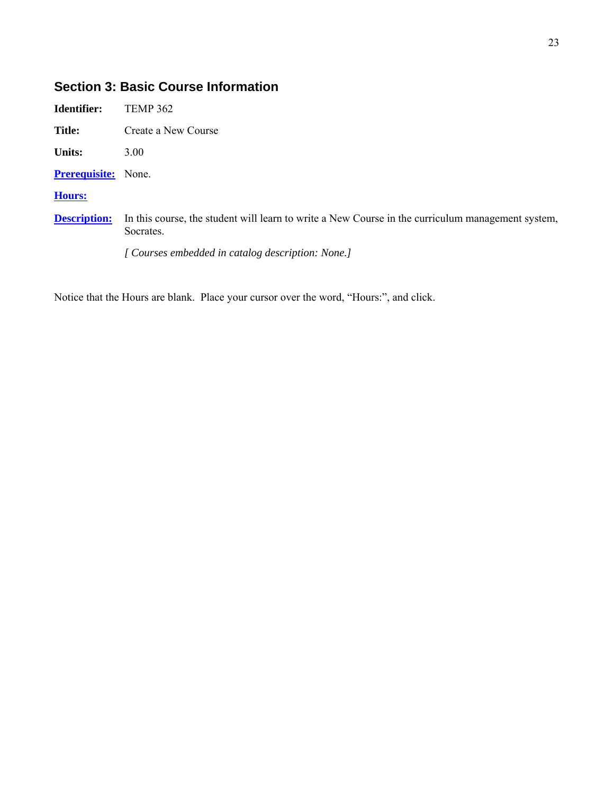# **Section 3: Basic Course Information**

| Identifier:                | <b>TEMP 362</b>                                                                                                |
|----------------------------|----------------------------------------------------------------------------------------------------------------|
| <b>Title:</b>              | Create a New Course                                                                                            |
| <b>Units:</b>              | 3.00                                                                                                           |
| <b>Prerequisite:</b> None. |                                                                                                                |
| <b>Hours:</b>              |                                                                                                                |
| <b>Description:</b>        | In this course, the student will learn to write a New Course in the curriculum management system,<br>Socrates. |
|                            | [ Courses embedded in catalog description: None.]                                                              |

Notice that the Hours are blank. Place your cursor over the word, "Hours:", and click.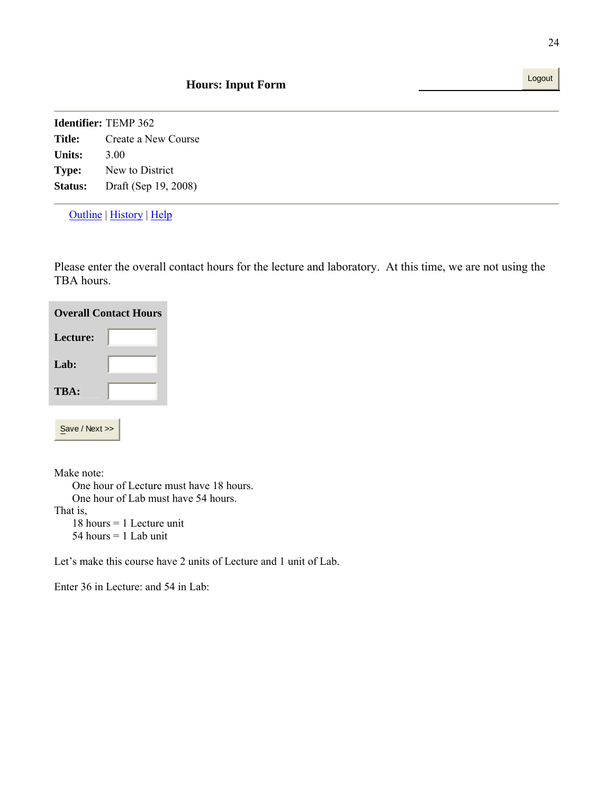Outline | History | Help

Please enter the overall contact hours for the lecture and laboratory. At this time, we are not using the TBA hours.

| <b>Overall Contact Hours</b> |  |  |
|------------------------------|--|--|
| Lecture:                     |  |  |
| Lab:                         |  |  |
| TBA:                         |  |  |
|                              |  |  |
| Save / Next >>               |  |  |

Make note:

 One hour of Lecture must have 18 hours. One hour of Lab must have 54 hours.

That is,

 18 hours = 1 Lecture unit 54 hours = 1 Lab unit

Let's make this course have 2 units of Lecture and 1 unit of Lab.

Enter 36 in Lecture: and 54 in Lab: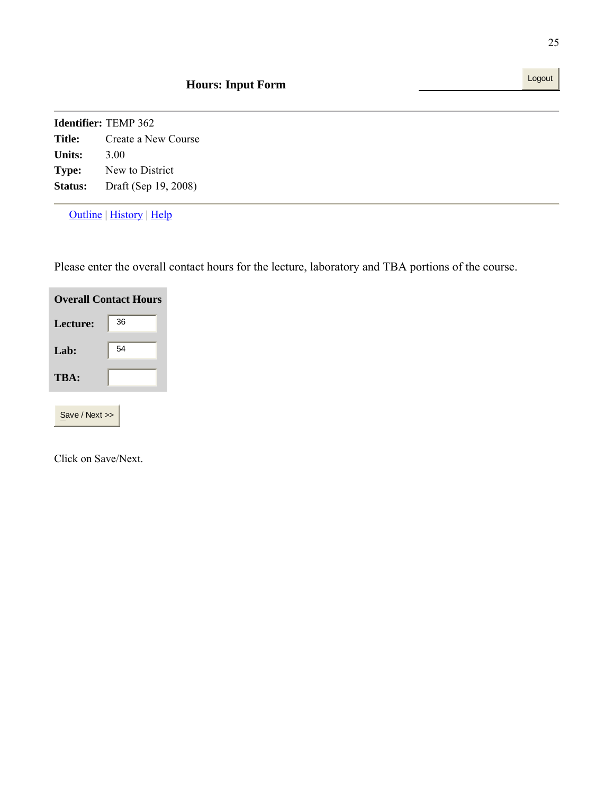Outline | History | Help

Please enter the overall contact hours for the lecture, laboratory and TBA portions of the course.

| <b>Overall Contact Hours</b> |    |
|------------------------------|----|
| Lecture:                     | 36 |
| Lab:                         | 54 |
| TBA:                         |    |
|                              |    |

Save / Next >>

Click on Save/Next.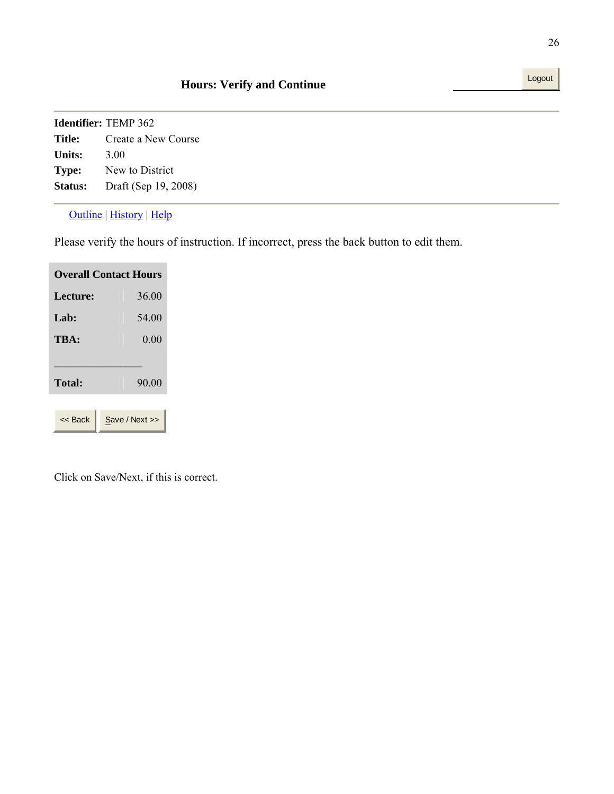#### Outline | History | Help

Please verify the hours of instruction. If incorrect, press the back button to edit them.

| <b>Overall Contact Hours</b> |                |  |
|------------------------------|----------------|--|
| Lecture:                     | 36.00          |  |
| Lab:                         | 54.00          |  |
| TBA:                         | 0.00           |  |
| <b>Total:</b>                | 90.00          |  |
| << Back                      | Save / Next >> |  |

Click on Save/Next, if this is correct.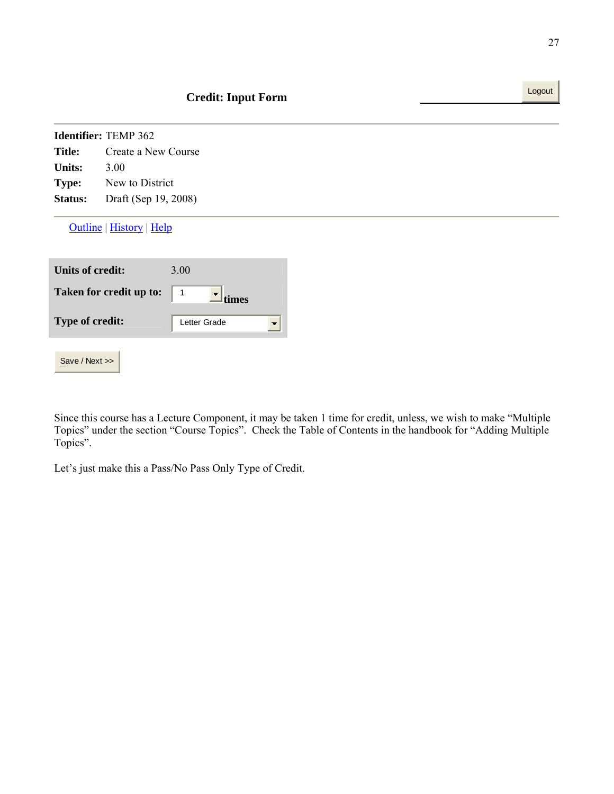|                         | <b>Identifier: TEMP 362</b>     |              |                          |
|-------------------------|---------------------------------|--------------|--------------------------|
| <b>Title:</b>           | Create a New Course             |              |                          |
| <b>Units:</b>           | 3.00                            |              |                          |
| <b>Type:</b>            | New to District                 |              |                          |
| Status:                 | Draft (Sep 19, 2008)            |              |                          |
|                         | <b>Outline</b>   History   Help |              |                          |
| <b>Units of credit:</b> |                                 | 3.00         |                          |
|                         |                                 |              |                          |
|                         | Taken for credit up to:         | 1<br>times   |                          |
| Type of credit:         |                                 | Letter Grade | $\overline{\phantom{a}}$ |

Since this course has a Lecture Component, it may be taken 1 time for credit, unless, we wish to make "Multiple Topics" under the section "Course Topics". Check the Table of Contents in the handbook for "Adding Multiple Topics".

Let's just make this a Pass/No Pass Only Type of Credit.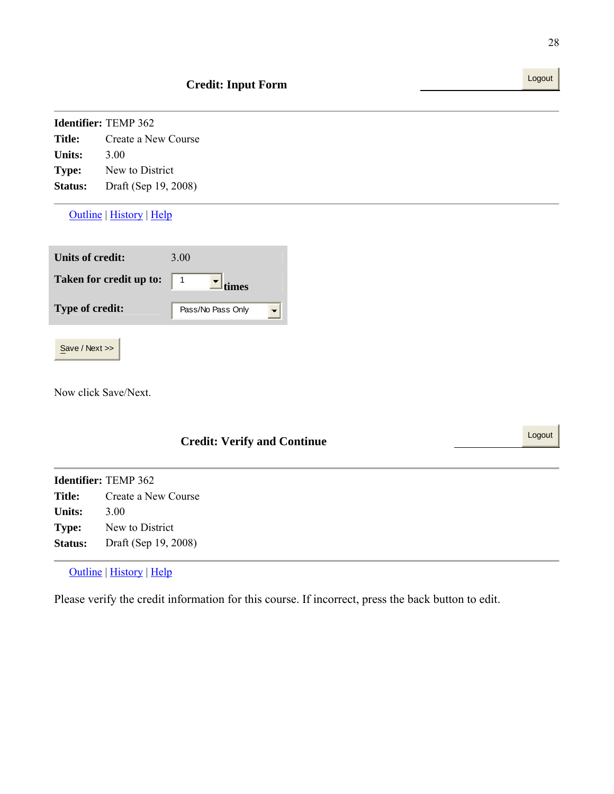| <b>Identifier:</b> TEMP 362 |                      |  |  |  |
|-----------------------------|----------------------|--|--|--|
| Title:                      | Create a New Course  |  |  |  |
| <b>Units:</b>               | 3.00                 |  |  |  |
| Type:                       | New to District      |  |  |  |
| <b>Status:</b>              | Draft (Sep 19, 2008) |  |  |  |

Outline | History | Help

| Units of credit:        | 3.00              |
|-------------------------|-------------------|
| Taken for credit up to: | times             |
| <b>Type of credit:</b>  | Pass/No Pass Only |
|                         |                   |

Save / Next >>

Now click Save/Next.

| <b>Credit: Verify and Continue</b> |                             |  |  |
|------------------------------------|-----------------------------|--|--|
|                                    | <b>Identifier:</b> TEMP 362 |  |  |
| <b>Title:</b>                      | Create a New Course         |  |  |
| <b>Units:</b>                      | 3.00                        |  |  |
| Type:                              | New to District             |  |  |
| <b>Status:</b>                     | Draft (Sep 19, 2008)        |  |  |
|                                    |                             |  |  |

Outline | History | Help

Please verify the credit information for this course. If incorrect, press the back button to edit.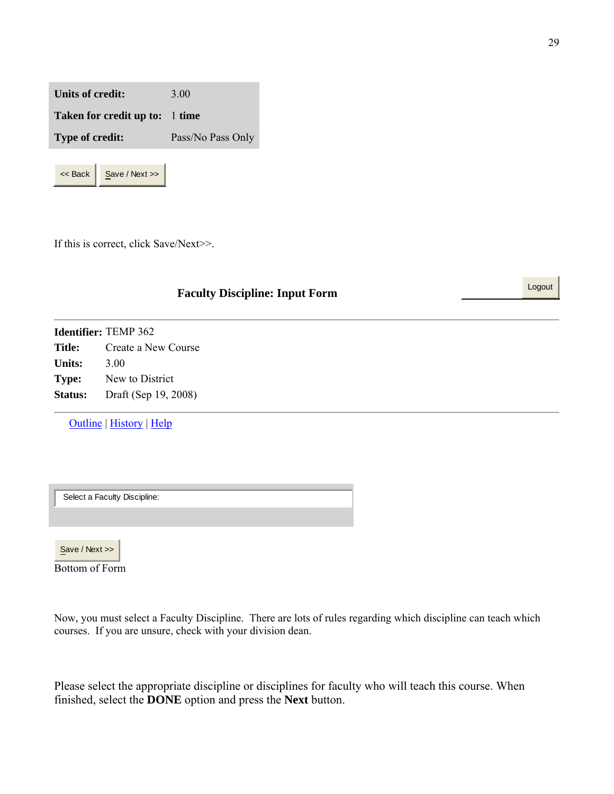**Units of credit:** 3.00 **Taken for credit up to:** 1 **time Type of credit:** Pass/No Pass Only



If this is correct, click Save/Next>>.

# **Faculty Discipline: Input Form** Logout

**Identifier:** TEMP 362 **Title:** Create a New Course **Units:** 3.00 **Type:** New to District **Status:** Draft (Sep 19, 2008)

Outline | History | Help

Select a Faculty Discipline:

Save / Next >>

Bottom of Form

Now, you must select a Faculty Discipline. There are lots of rules regarding which discipline can teach which courses. If you are unsure, check with your division dean.

Please select the appropriate discipline or disciplines for faculty who will teach this course. When finished, select the **DONE** option and press the **Next** button.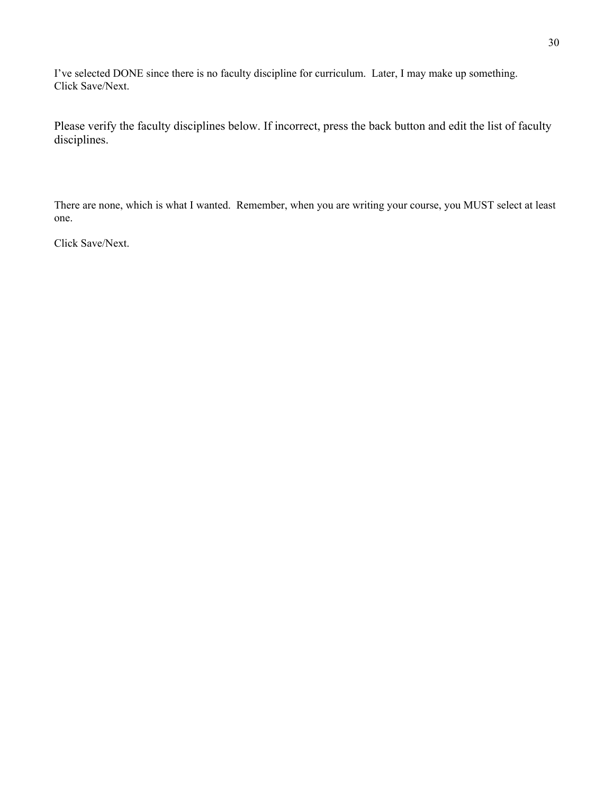I've selected DONE since there is no faculty discipline for curriculum. Later, I may make up something. Click Save/Next.

Please verify the faculty disciplines below. If incorrect, press the back button and edit the list of faculty disciplines.

There are none, which is what I wanted. Remember, when you are writing your course, you MUST select at least one.

Click Save/Next.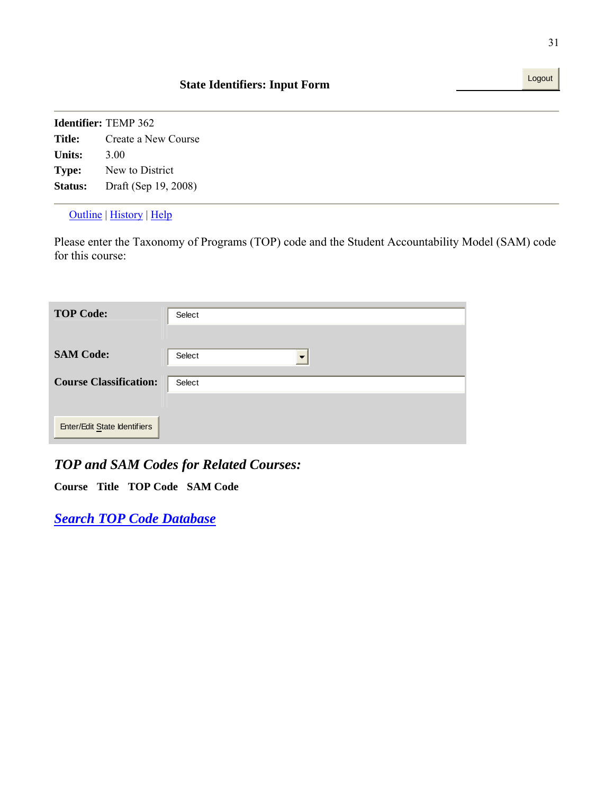Outline | History | Help

Please enter the Taxonomy of Programs (TOP) code and the Student Accountability Model (SAM) code for this course:

| <b>TOP Code:</b>              | Select |
|-------------------------------|--------|
|                               |        |
| <b>SAM Code:</b>              | Select |
| <b>Course Classification:</b> | Select |
|                               |        |
| Enter/Edit State Identifiers  |        |

# *TOP and SAM Codes for Related Courses:*

**Course Title TOP Code SAM Code**

*Search TOP Code Database*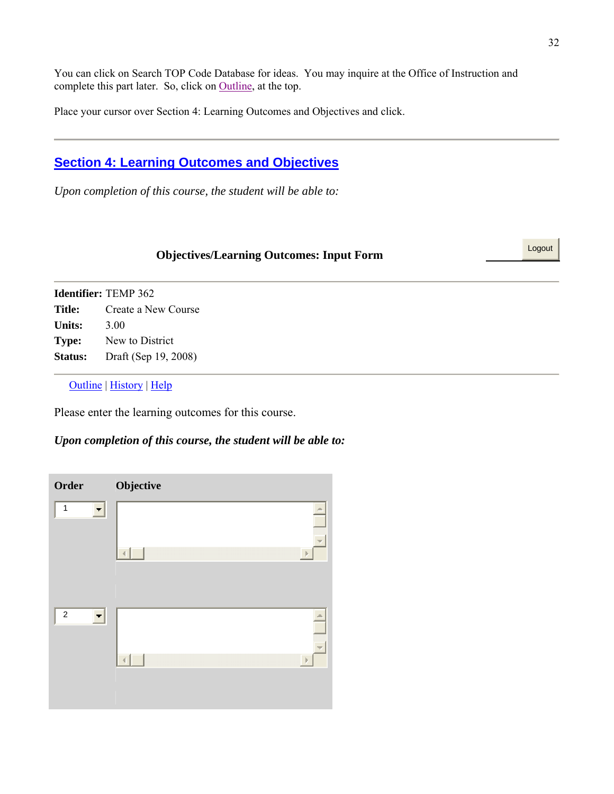You can click on Search TOP Code Database for ideas. You may inquire at the Office of Instruction and complete this part later. So, click on Outline, at the top.

Place your cursor over Section 4: Learning Outcomes and Objectives and click.

# **Section 4: Learning Outcomes and Objectives**

*Upon completion of this course, the student will be able to:*

# **Objectives/Learning Outcomes: Input Form**

**Identifier:** TEMP 362 **Title:** Create a New Course **Units:** 3.00 **Type:** New to District **Status:** Draft (Sep 19, 2008)

Outline | History | Help

Please enter the learning outcomes for this course.

#### *Upon completion of this course, the student will be able to:*

| Order                                    | Objective                            |
|------------------------------------------|--------------------------------------|
| $\mathbf{1}$<br>$\overline{\phantom{a}}$ | $\Delta \omega$<br>$\overline{\psi}$ |
|                                          | $\mathbb{R}$<br>ä                    |
| $\overline{c}$<br>$\blacksquare$         | $\frac{1}{2}$                        |
|                                          | $\mathbb{R}$                         |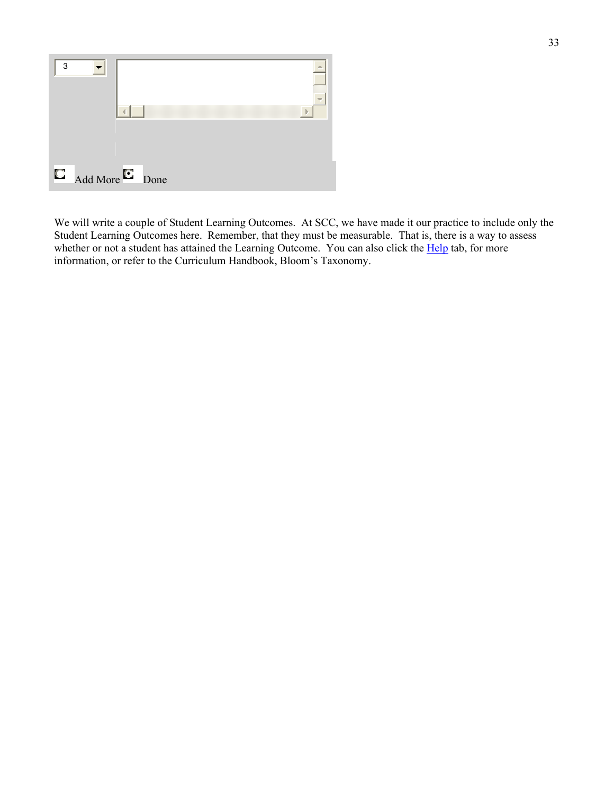

We will write a couple of Student Learning Outcomes. At SCC, we have made it our practice to include only the Student Learning Outcomes here. Remember, that they must be measurable. That is, there is a way to assess whether or not a student has attained the Learning Outcome. You can also click the Help tab, for more information, or refer to the Curriculum Handbook, Bloom's Taxonomy.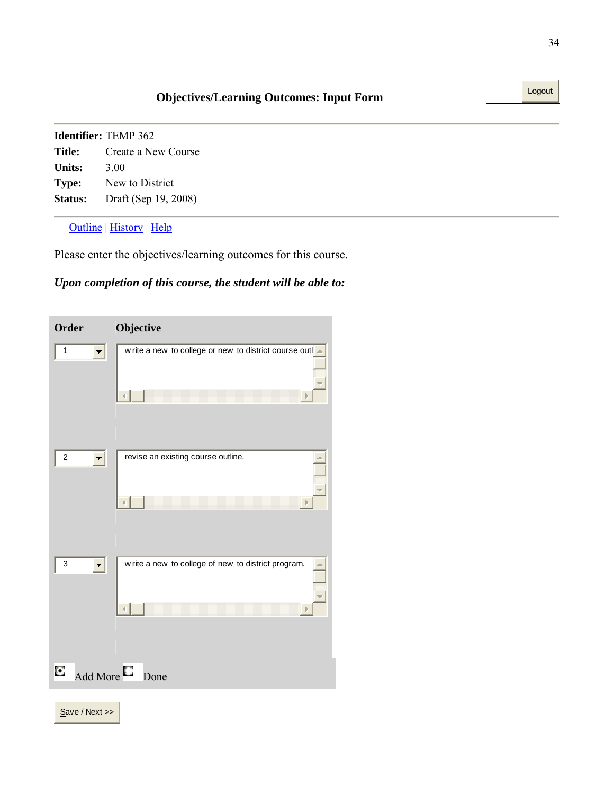|                | <b>Identifier:</b> TEMP 362 |
|----------------|-----------------------------|
| Title:         | Create a New Course         |
| Units:         | 3.00                        |
| Type:          | New to District             |
| <b>Status:</b> | Draft (Sep 19, 2008)        |

Outline | History | Help

Please enter the objectives/learning outcomes for this course.

# *Upon completion of this course, the student will be able to:*

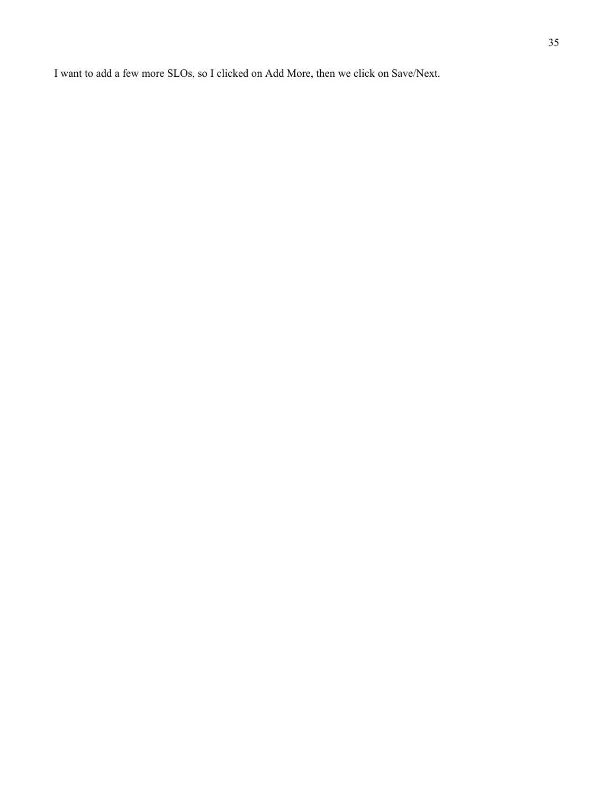I want to add a few more SLOs, so I clicked on Add More, then we click on Save/Next.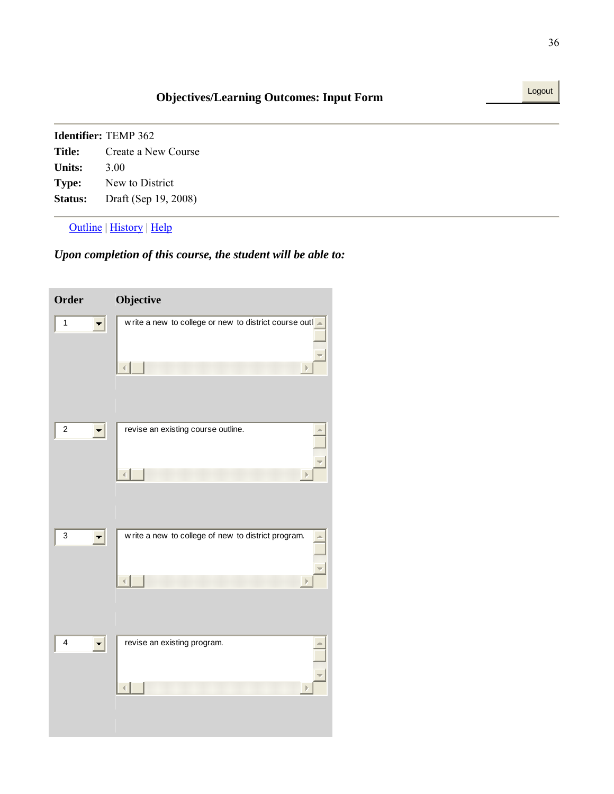Outline | History | Help

## *Upon completion of this course, the student will be able to:*

| Order                   | Objective                                                 |
|-------------------------|-----------------------------------------------------------|
| $\mathbf{1}$            | w rite a new to college or new to district course outli - |
| $\boldsymbol{2}$        | revise an existing course outline.                        |
| 3                       | w rite a new to college of new to district program.<br>Þ  |
| $\overline{\mathbf{4}}$ | revise an existing program.                               |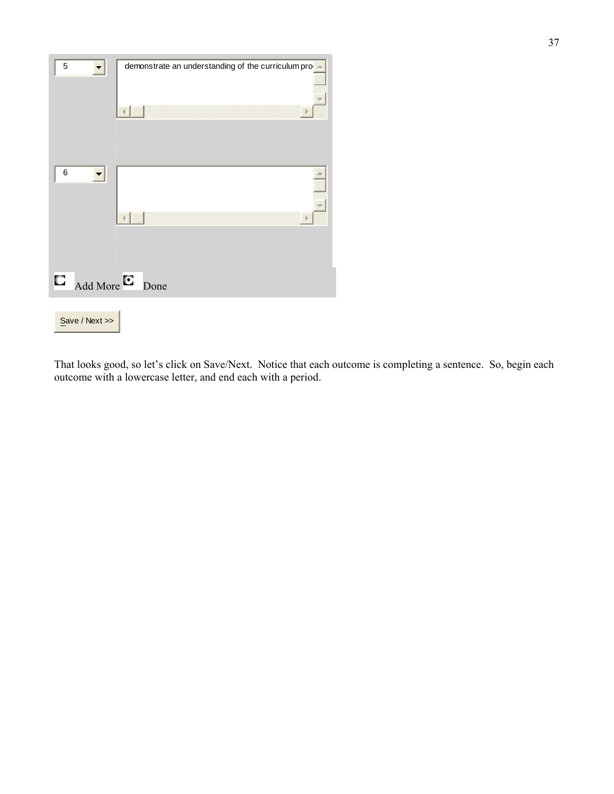| 5<br>. .      | demonstrate an understanding of the curriculum prode |      |
|---------------|------------------------------------------------------|------|
|               |                                                      | - IF |
|               |                                                      |      |
| $\,6$         |                                                      | z.   |
|               |                                                      |      |
|               |                                                      |      |
|               |                                                      | - P  |
|               |                                                      |      |
| О<br>Add More | Done                                                 |      |
|               |                                                      |      |
| Save / Next   |                                                      |      |

That looks good, so let's click on Save/Next. Notice that each outcome is completing a sentence. So, begin each outcome with a lowercase letter, and end each with a period.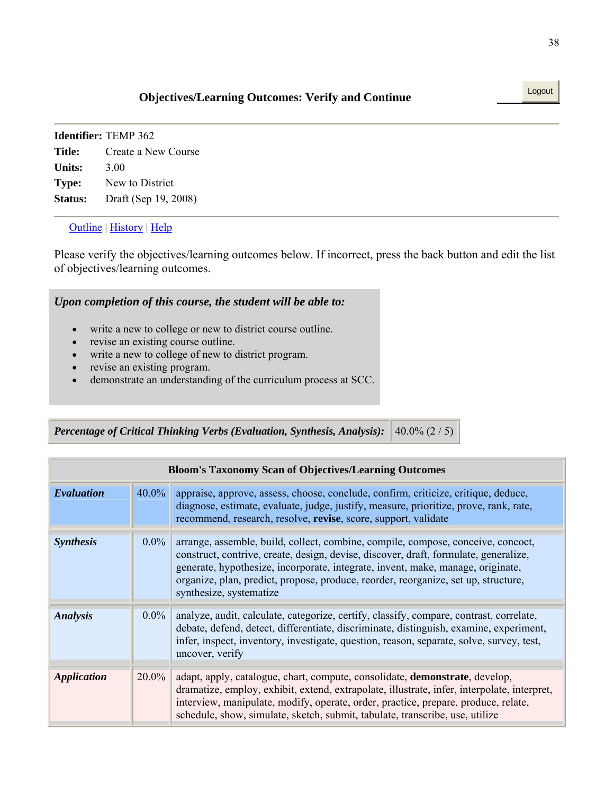# **Objectives/Learning Outcomes: Verify and Continue** Logout

|              | <b>Identifier:</b> TEMP 362 |
|--------------|-----------------------------|
| Title:       | Create a New Course         |
| Units:       | 3.00                        |
| <b>Type:</b> | New to District             |
| Status:      | Draft (Sep 19, 2008)        |

### Outline | History | Help

Please verify the objectives/learning outcomes below. If incorrect, press the back button and edit the list of objectives/learning outcomes.

## *Upon completion of this course, the student will be able to:*

- write a new to college or new to district course outline.
- revise an existing course outline.
- write a new to college of new to district program.
- revise an existing program.
- demonstrate an understanding of the curriculum process at SCC.

| <i>Percentage of Critical Thinking Verbs (Evaluation, Synthesis, Analysis):</i> $ 40.0\% (2/5) $ |  |
|--------------------------------------------------------------------------------------------------|--|
|--------------------------------------------------------------------------------------------------|--|

| <b>Bloom's Taxonomy Scan of Objectives/Learning Outcomes</b> |          |                                                                                                                                                                                                                                                                                                                                                                              |
|--------------------------------------------------------------|----------|------------------------------------------------------------------------------------------------------------------------------------------------------------------------------------------------------------------------------------------------------------------------------------------------------------------------------------------------------------------------------|
| Evaluation                                                   | $40.0\%$ | appraise, approve, assess, choose, conclude, confirm, criticize, critique, deduce,<br>diagnose, estimate, evaluate, judge, justify, measure, prioritize, prove, rank, rate,<br>recommend, research, resolve, revise, score, support, validate                                                                                                                                |
| <b>Synthesis</b>                                             | $0.0\%$  | arrange, assemble, build, collect, combine, compile, compose, conceive, concoct,<br>construct, contrive, create, design, devise, discover, draft, formulate, generalize,<br>generate, hypothesize, incorporate, integrate, invent, make, manage, originate,<br>organize, plan, predict, propose, produce, reorder, reorganize, set up, structure,<br>synthesize, systematize |
| <b>Analysis</b>                                              | $0.0\%$  | analyze, audit, calculate, categorize, certify, classify, compare, contrast, correlate,<br>debate, defend, detect, differentiate, discriminate, distinguish, examine, experiment,<br>infer, inspect, inventory, investigate, question, reason, separate, solve, survey, test,<br>uncover, verify                                                                             |
| <i><b>Application</b></i>                                    | $20.0\%$ | adapt, apply, catalogue, chart, compute, consolidate, <b>demonstrate</b> , develop,<br>dramatize, employ, exhibit, extend, extrapolate, illustrate, infer, interpolate, interpret,<br>interview, manipulate, modify, operate, order, practice, prepare, produce, relate,<br>schedule, show, simulate, sketch, submit, tabulate, transcribe, use, utilize                     |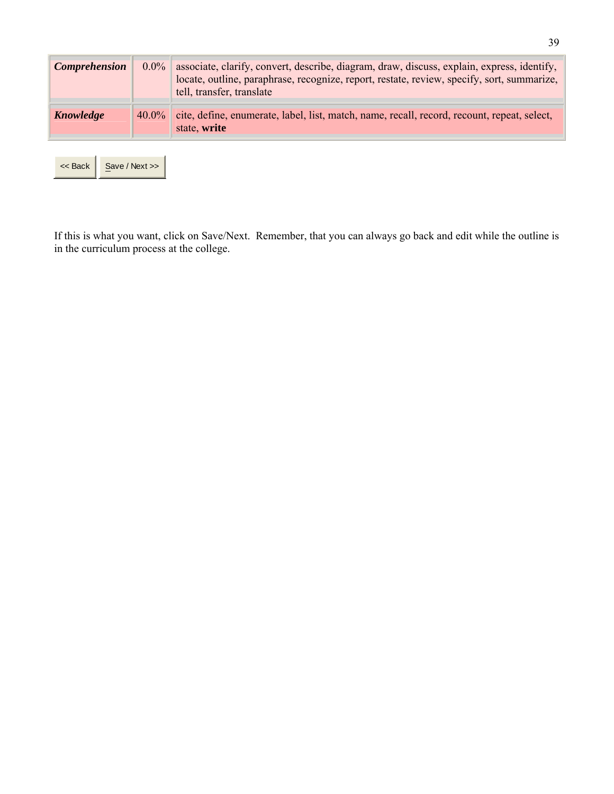| <b>Comprehension</b> | $0.0\%$        | associate, clarify, convert, describe, diagram, draw, discuss, explain, express, identify,<br>locate, outline, paraphrase, recognize, report, restate, review, specify, sort, summarize,<br>tell, transfer, translate |
|----------------------|----------------|-----------------------------------------------------------------------------------------------------------------------------------------------------------------------------------------------------------------------|
| Knowledge            | $40.0\%$       | cite, define, enumerate, label, list, match, name, recall, record, recount, repeat, select,                                                                                                                           |
|                      |                | state, write                                                                                                                                                                                                          |
|                      |                |                                                                                                                                                                                                                       |
| << Back              | Save / Next >> |                                                                                                                                                                                                                       |

If this is what you want, click on Save/Next. Remember, that you can always go back and edit while the outline is in the curriculum process at the college.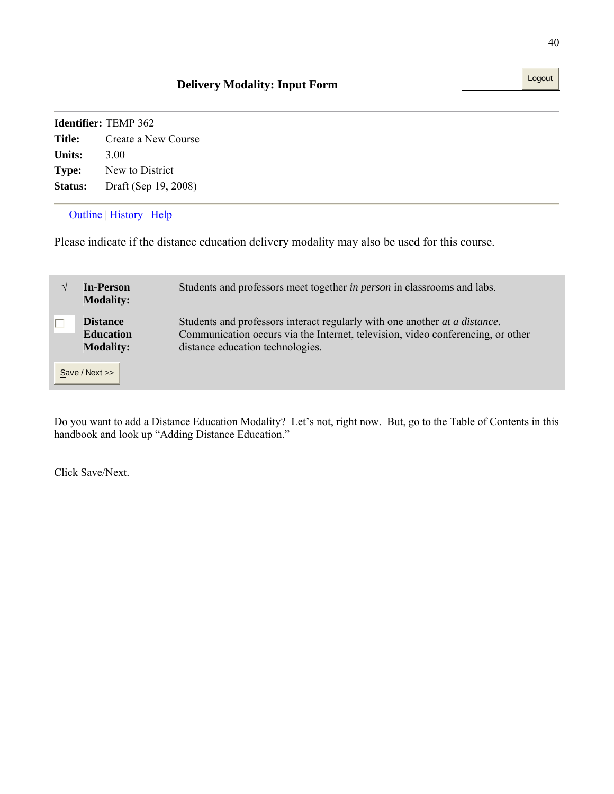|                | <b>Identifier:</b> TEMP 362 |
|----------------|-----------------------------|
| Title:         | Create a New Course         |
| <b>Units:</b>  | 3.00                        |
| Type:          | New to District             |
| <b>Status:</b> | Draft (Sep 19, 2008)        |
|                |                             |

### Outline | History | Help

Please indicate if the distance education delivery modality may also be used for this course.

| <b>In-Person</b><br><b>Modality:</b>                                      | Students and professors meet together <i>in person</i> in classrooms and labs.                                                                                                                            |
|---------------------------------------------------------------------------|-----------------------------------------------------------------------------------------------------------------------------------------------------------------------------------------------------------|
| <b>Distance</b><br><b>Education</b><br><b>Modality:</b><br>Save / Next >> | Students and professors interact regularly with one another <i>at a distance</i> .<br>Communication occurs via the Internet, television, video conferencing, or other<br>distance education technologies. |

Do you want to add a Distance Education Modality? Let's not, right now. But, go to the Table of Contents in this handbook and look up "Adding Distance Education."

Click Save/Next.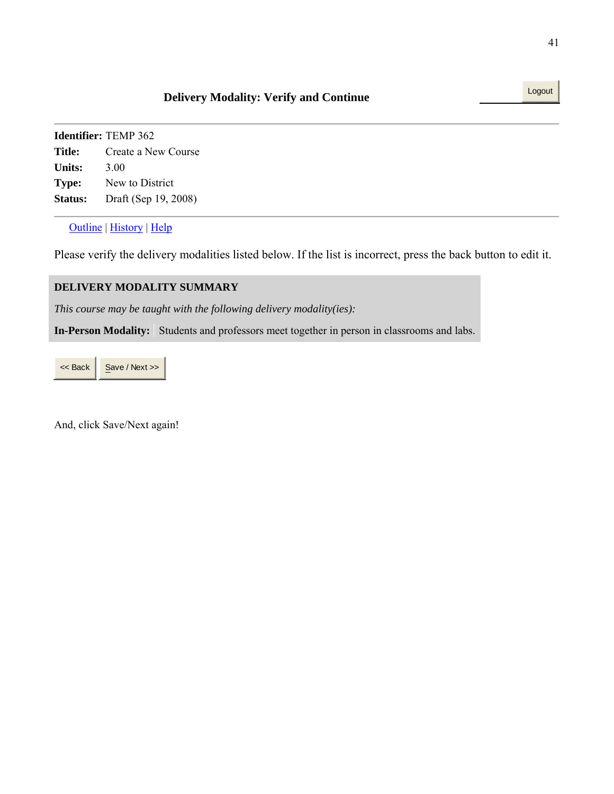#### Outline | History | Help

Please verify the delivery modalities listed below. If the list is incorrect, press the back button to edit it.

#### **DELIVERY MODALITY SUMMARY**

*This course may be taught with the following delivery modality(ies):*

**In-Person Modality:** Students and professors meet together in person in classrooms and labs.

 $<<$  Back  $\Big|\Big|$  Save / Next >>

And, click Save/Next again!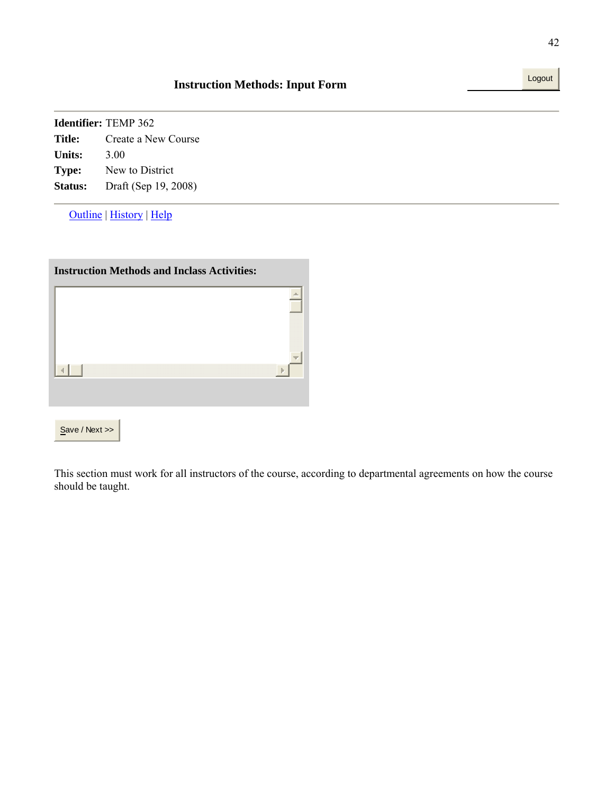|              | <b>Identifier: TEMP 362</b> |
|--------------|-----------------------------|
| Title:       | Create a New Course         |
| Units:       | 3.00                        |
| <b>Type:</b> | New to District             |
| Status:      | Draft (Sep 19, 2008)        |

Outline | History | Help

| <b>Instruction Methods and Inclass Activities:</b> |  |  |
|----------------------------------------------------|--|--|
|                                                    |  |  |
|                                                    |  |  |
|                                                    |  |  |
|                                                    |  |  |
| Save / Next                                        |  |  |

This section must work for all instructors of the course, according to departmental agreements on how the course should be taught.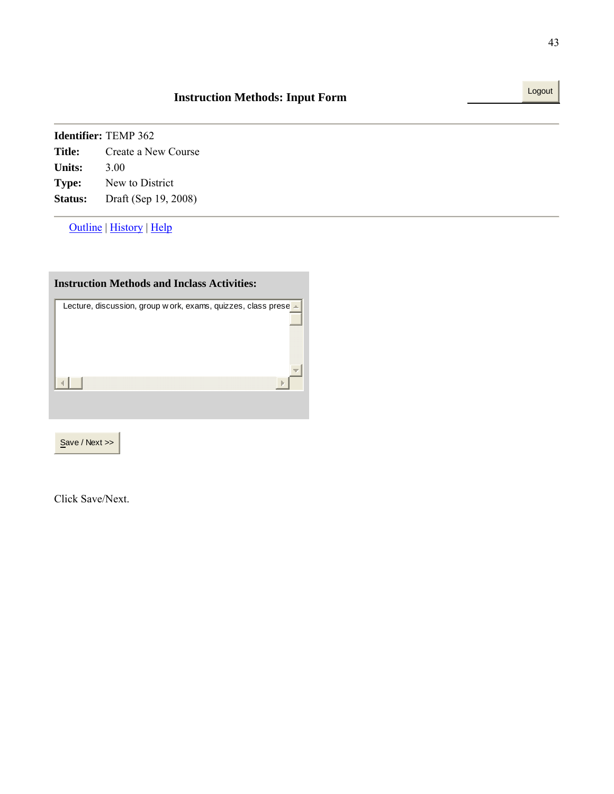Outline | History | Help

| <b>Instruction Methods and Inclass Activities:</b>              |
|-----------------------------------------------------------------|
| Lecture, discussion, group w ork, exams, quizzes, class prese - |
|                                                                 |
|                                                                 |
|                                                                 |
|                                                                 |
|                                                                 |
|                                                                 |

Save / Next >>

Click Save/Next.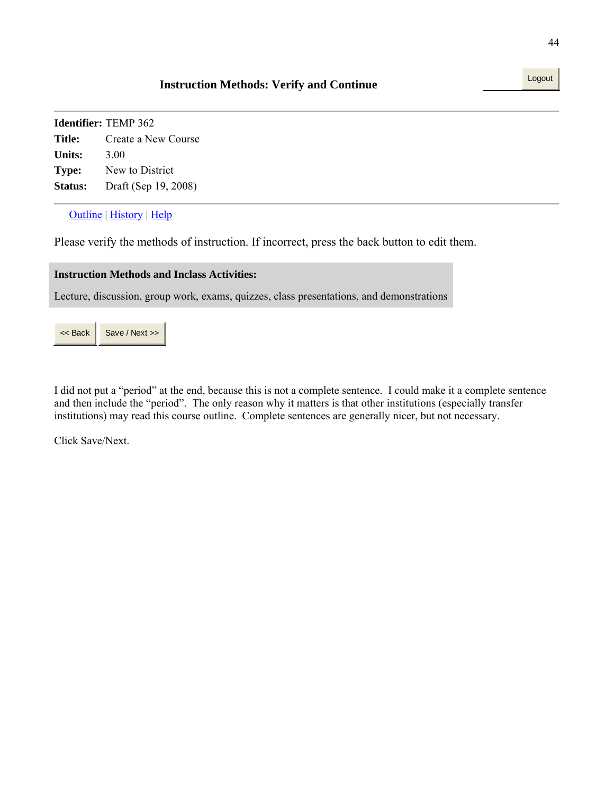# **Instruction Methods: Verify and Continue**

**Identifier:** TEMP 362 **Title:** Create a New Course **Units:** 3.00 **Type:** New to District **Status:** Draft (Sep 19, 2008)

Outline | History | Help

Please verify the methods of instruction. If incorrect, press the back button to edit them.

#### **Instruction Methods and Inclass Activities:**

Lecture, discussion, group work, exams, quizzes, class presentations, and demonstrations

 $<<$  Back  $\parallel$  Save / Next >>

I did not put a "period" at the end, because this is not a complete sentence. I could make it a complete sentence and then include the "period". The only reason why it matters is that other institutions (especially transfer institutions) may read this course outline. Complete sentences are generally nicer, but not necessary.

Click Save/Next.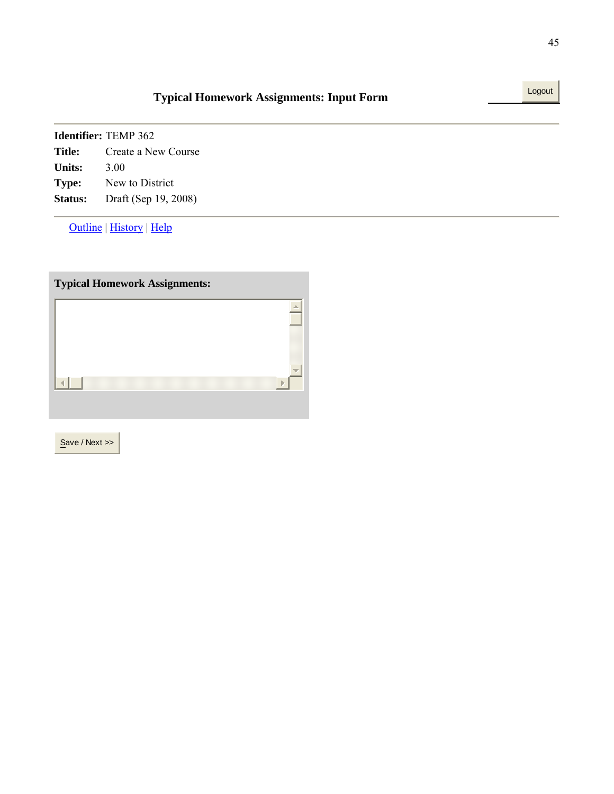# **Typical Homework Assignments: Input Form** Logout

| <b>Identifier:</b> TEMP 362 |                      |  |
|-----------------------------|----------------------|--|
| <b>Title:</b>               | Create a New Course  |  |
| Units:                      | 3.00                 |  |
| <b>Type:</b>                | New to District      |  |
| Status:                     | Draft (Sep 19, 2008) |  |

Outline | History | Help

| <b>Typical Homework Assignments:</b> |    |
|--------------------------------------|----|
|                                      |    |
|                                      |    |
|                                      | r. |
|                                      |    |
|                                      |    |

Save / Next >>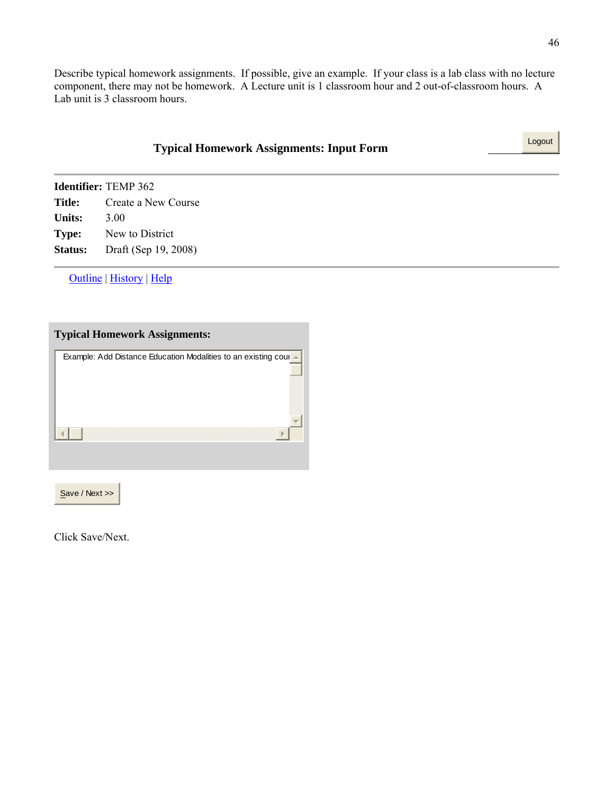Describe typical homework assignments. If possible, give an example. If your class is a lab class with no lecture component, there may not be homework. A Lecture unit is 1 classroom hour and 2 out-of-classroom hours. A Lab unit is 3 classroom hours.

|                | <b>Typical Homework Assignments: Input Form</b> |  |
|----------------|-------------------------------------------------|--|
|                | Identifier: TEMP 362                            |  |
| <b>Title:</b>  | Create a New Course                             |  |
| <b>Units:</b>  | 3.00                                            |  |
| Type:          | New to District                                 |  |
| <b>Status:</b> | Draft (Sep 19, 2008)                            |  |
|                |                                                 |  |

Outline | History | Help

| <b>Typical Homework Assignments:</b>                                    |
|-------------------------------------------------------------------------|
| <b>Example: Add Distance Education Modalities to an existing coul =</b> |
|                                                                         |
|                                                                         |
|                                                                         |
|                                                                         |
|                                                                         |

Save / Next >>

Click Save/Next.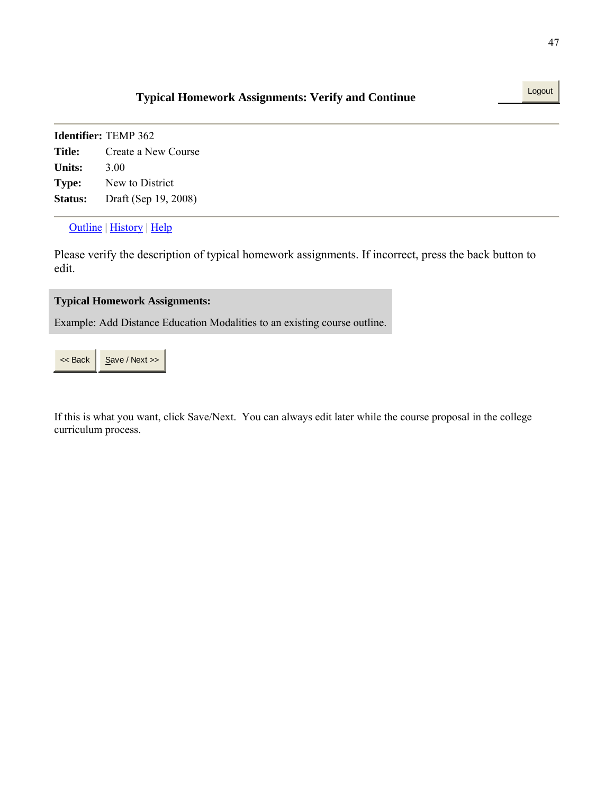# **Typical Homework Assignments: Verify and Continue** Logout

**Identifier:** TEMP 362 **Title:** Create a New Course **Units:** 3.00 **Type:** New to District **Status:** Draft (Sep 19, 2008)

#### Outline | History | Help

Please verify the description of typical homework assignments. If incorrect, press the back button to edit.

#### **Typical Homework Assignments:**

Example: Add Distance Education Modalities to an existing course outline.

If this is what you want, click Save/Next. You can always edit later while the course proposal in the college curriculum process.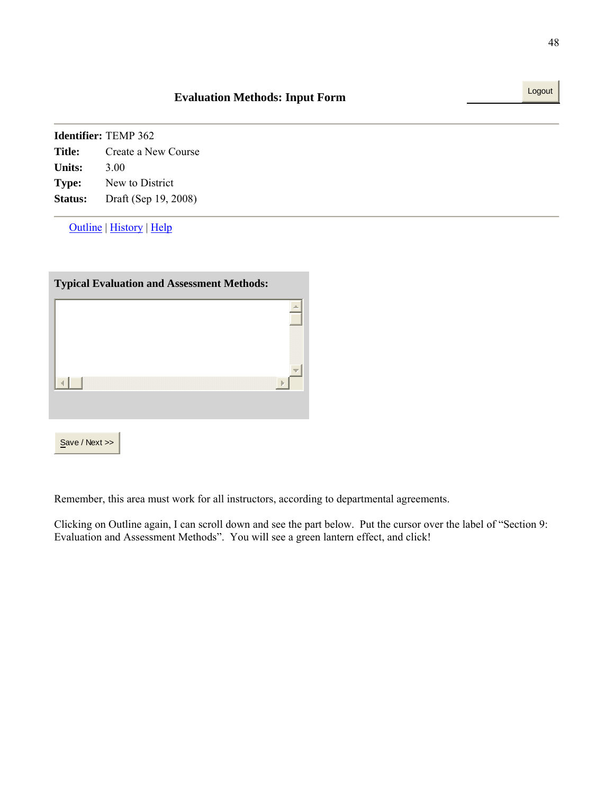| <b>Identifier:</b> TEMP 362 |                      |  |
|-----------------------------|----------------------|--|
| Title:                      | Create a New Course  |  |
| Units:                      | 3.00                 |  |
| <b>Type:</b>                | New to District      |  |
| Status:                     | Draft (Sep 19, 2008) |  |

Outline | History | Help

| <b>Typical Evaluation and Assessment Methods:</b> |  |  |  |  |
|---------------------------------------------------|--|--|--|--|
|                                                   |  |  |  |  |
|                                                   |  |  |  |  |
|                                                   |  |  |  |  |
|                                                   |  |  |  |  |
| Save / Next >>                                    |  |  |  |  |

Remember, this area must work for all instructors, according to departmental agreements.

Clicking on Outline again, I can scroll down and see the part below. Put the cursor over the label of "Section 9: Evaluation and Assessment Methods". You will see a green lantern effect, and click!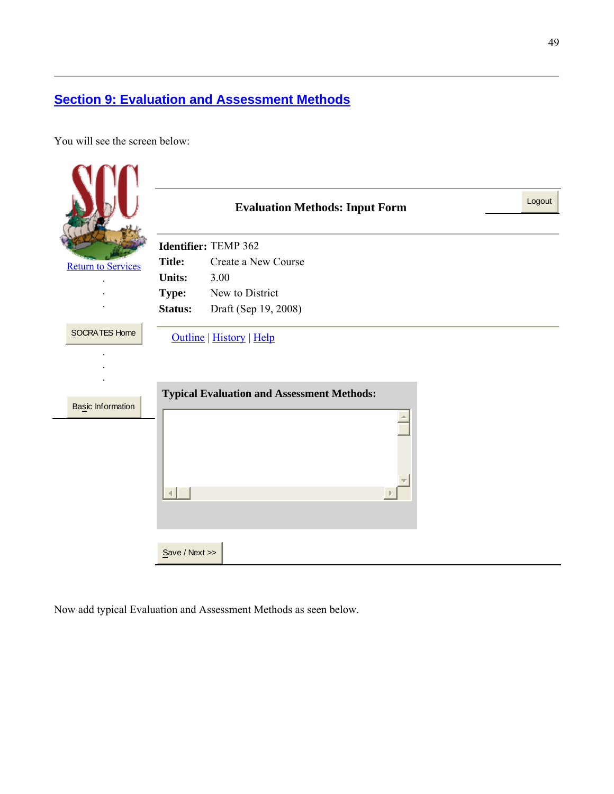# **Section 9: Evaluation and Assessment Methods**

You will see the screen below:

|                                    |                      | <b>Evaluation Methods: Input Form</b>                                         | Logout |
|------------------------------------|----------------------|-------------------------------------------------------------------------------|--------|
|                                    | Identifier: TEMP 362 |                                                                               |        |
| <b>Return to Services</b>          | <b>Title:</b>        | Create a New Course                                                           |        |
|                                    | <b>Units:</b>        | 3.00                                                                          |        |
|                                    | <b>Type:</b>         | New to District                                                               |        |
|                                    | Status:              | Draft (Sep 19, 2008)                                                          |        |
| SOCRATES Home<br>Basic Information |                      | Outline   History   Help<br><b>Typical Evaluation and Assessment Methods:</b> |        |
|                                    | Save / Next          |                                                                               |        |

Now add typical Evaluation and Assessment Methods as seen below.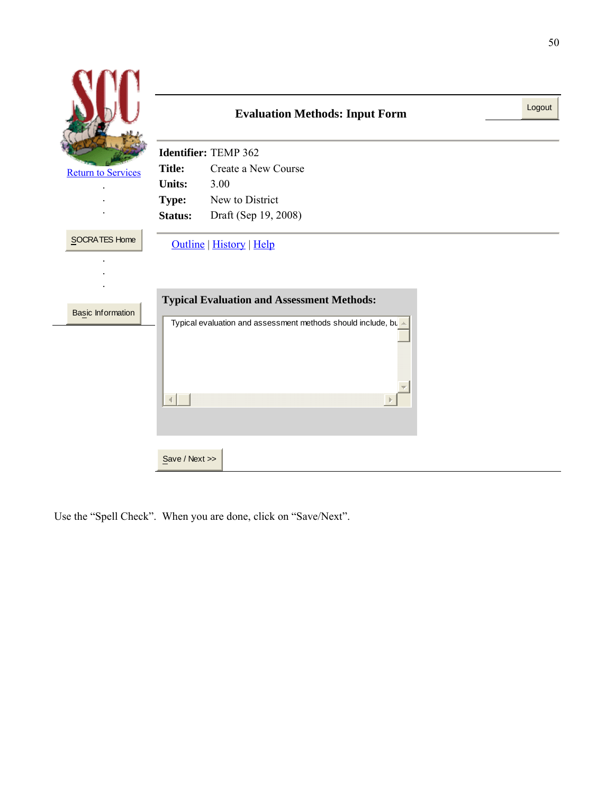|                                           |               | <b>Evaluation Methods: Input Form</b>                                                                                                         | Logout |
|-------------------------------------------|---------------|-----------------------------------------------------------------------------------------------------------------------------------------------|--------|
|                                           |               | Identifier: TEMP 362                                                                                                                          |        |
| <b>Return to Services</b>                 | <b>Title:</b> | Create a New Course                                                                                                                           |        |
|                                           | <b>Units:</b> | 3.00                                                                                                                                          |        |
|                                           | <b>Type:</b>  | New to District                                                                                                                               |        |
|                                           | Status:       | Draft (Sep 19, 2008)                                                                                                                          |        |
| SOCRATES Home<br><b>Basic Information</b> |               | Outline   History   Help<br><b>Typical Evaluation and Assessment Methods:</b><br>Typical evaluation and assessment methods should include, bu |        |
|                                           | Save / Next   |                                                                                                                                               |        |

Use the "Spell Check". When you are done, click on "Save/Next".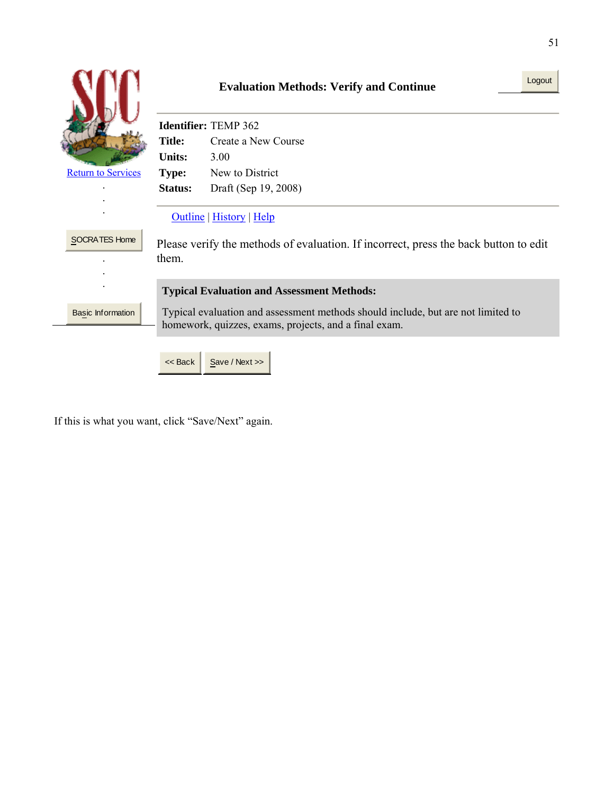|                           |                                                                                                                                           | Logout<br><b>Evaluation Methods: Verify and Continue</b> |  |
|---------------------------|-------------------------------------------------------------------------------------------------------------------------------------------|----------------------------------------------------------|--|
|                           | <b>Identifier:</b> TEMP 362                                                                                                               |                                                          |  |
|                           | <b>Title:</b>                                                                                                                             | Create a New Course                                      |  |
|                           | <b>Units:</b>                                                                                                                             | 3.00                                                     |  |
| <b>Return to Services</b> | <b>Type:</b>                                                                                                                              | New to District                                          |  |
|                           | Status:                                                                                                                                   | Draft (Sep 19, 2008)                                     |  |
| <b>SOCRATES Home</b>      | Outline   History   Help<br>Please verify the methods of evaluation. If incorrect, press the back button to edit                          |                                                          |  |
|                           | them.                                                                                                                                     |                                                          |  |
|                           | <b>Typical Evaluation and Assessment Methods:</b>                                                                                         |                                                          |  |
| <b>Basic Information</b>  | Typical evaluation and assessment methods should include, but are not limited to<br>homework, quizzes, exams, projects, and a final exam. |                                                          |  |
|                           | $<<$ Back                                                                                                                                 | Save / Next >>                                           |  |

If this is what you want, click "Save/Next" again.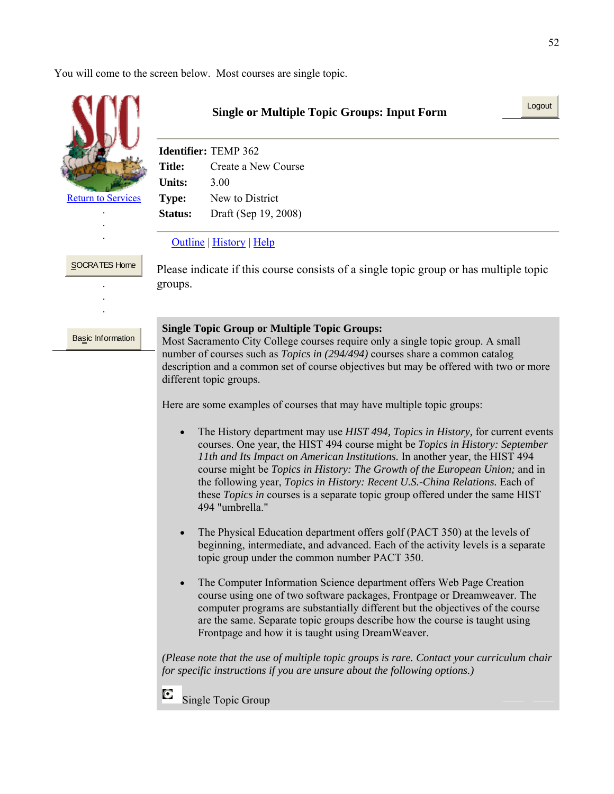You will come to the screen below. Most courses are single topic.



. .

SOCRATES Home . . .

# **Single or Multiple Topic Groups: Input Form**

|                | <b>Identifier: TEMP 362</b> |
|----------------|-----------------------------|
| Title:         | Create a New Course         |
| <b>Units:</b>  | 3.00                        |
| <b>Type:</b>   | New to District             |
| <b>Status:</b> | Draft (Sep 19, 2008)        |

#### Outline | History | Help

Please indicate if this course consists of a single topic group or has multiple topic groups.

Basic Information

#### **Single Topic Group or Multiple Topic Groups:**

Most Sacramento City College courses require only a single topic group. A small number of courses such as *Topics in (294/494)* courses share a common catalog description and a common set of course objectives but may be offered with two or more different topic groups.

Here are some examples of courses that may have multiple topic groups:

- The History department may use *HIST 494, Topics in History,* for current events courses. One year, the HIST 494 course might be *Topics in History: September 11th and Its Impact on American Institutions.* In another year, the HIST 494 course might be *Topics in History: The Growth of the European Union;* and in the following year, *Topics in History: Recent U.S.-China Relations.* Each of these *Topics in* courses is a separate topic group offered under the same HIST 494 "umbrella."
- The Physical Education department offers golf (PACT 350) at the levels of beginning, intermediate, and advanced. Each of the activity levels is a separate topic group under the common number PACT 350.
- The Computer Information Science department offers Web Page Creation course using one of two software packages, Frontpage or Dreamweaver. The computer programs are substantially different but the objectives of the course are the same. Separate topic groups describe how the course is taught using Frontpage and how it is taught using DreamWeaver.

*(Please note that the use of multiple topic groups is rare. Contact your curriculum chair for specific instructions if you are unsure about the following options.)*

C Single Topic Group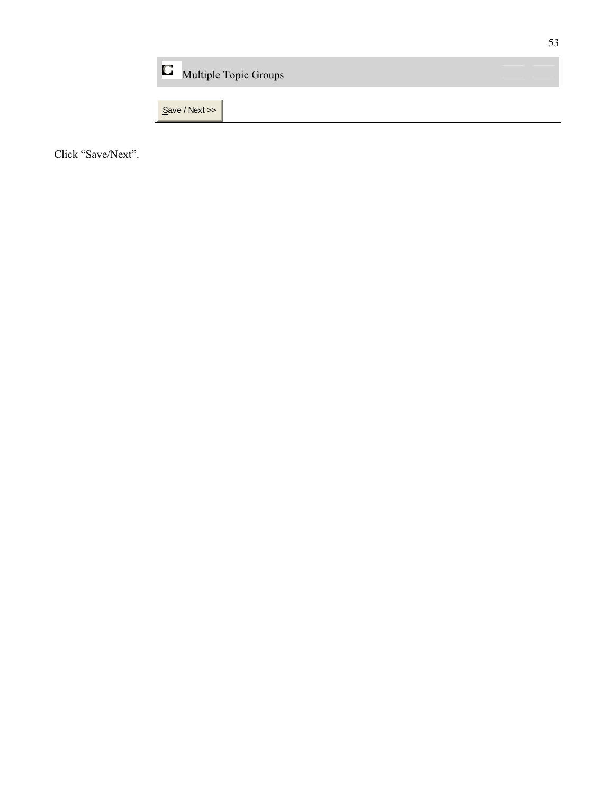| D<br><b>Multiple Topic Groups</b> |  |
|-----------------------------------|--|
| Save / Next >>                    |  |

Click "Save/Next".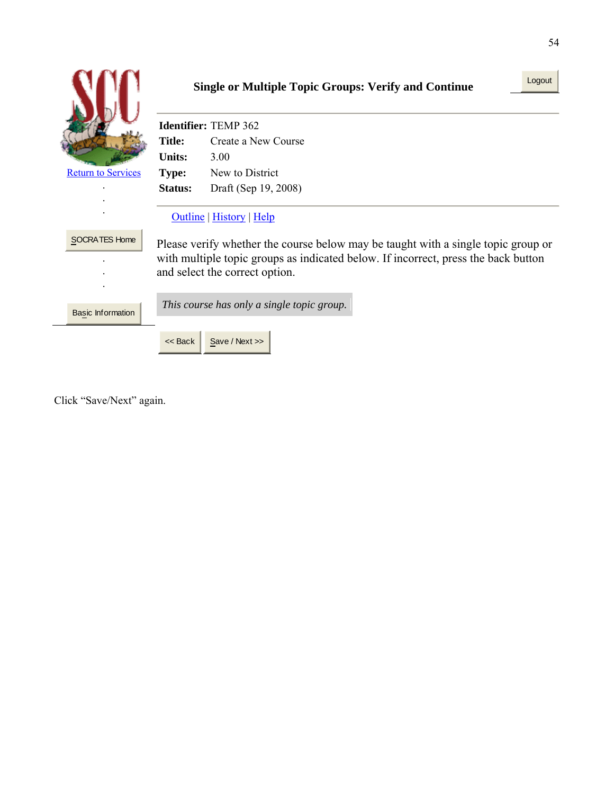|                           | <b>Single or Multiple Topic Groups: Verify and Continue</b> |                                                                                                                                                                                                           |
|---------------------------|-------------------------------------------------------------|-----------------------------------------------------------------------------------------------------------------------------------------------------------------------------------------------------------|
|                           |                                                             | <b>Identifier: TEMP 362</b>                                                                                                                                                                               |
|                           | <b>Title:</b>                                               | Create a New Course                                                                                                                                                                                       |
|                           | <b>Units:</b>                                               | 3.00                                                                                                                                                                                                      |
| <b>Return to Services</b> | Type:                                                       | New to District                                                                                                                                                                                           |
|                           | <b>Status:</b>                                              | Draft (Sep 19, 2008)                                                                                                                                                                                      |
|                           |                                                             | Outline   History   Help                                                                                                                                                                                  |
| <b>SOCRATES Home</b>      |                                                             | Please verify whether the course below may be taught with a single topic group or<br>with multiple topic groups as indicated below. If incorrect, press the back button<br>and select the correct option. |
| <b>Basic Information</b>  |                                                             | This course has only a single topic group.                                                                                                                                                                |
|                           | $<<$ Back                                                   | Save / Next >>                                                                                                                                                                                            |

Click "Save/Next" again.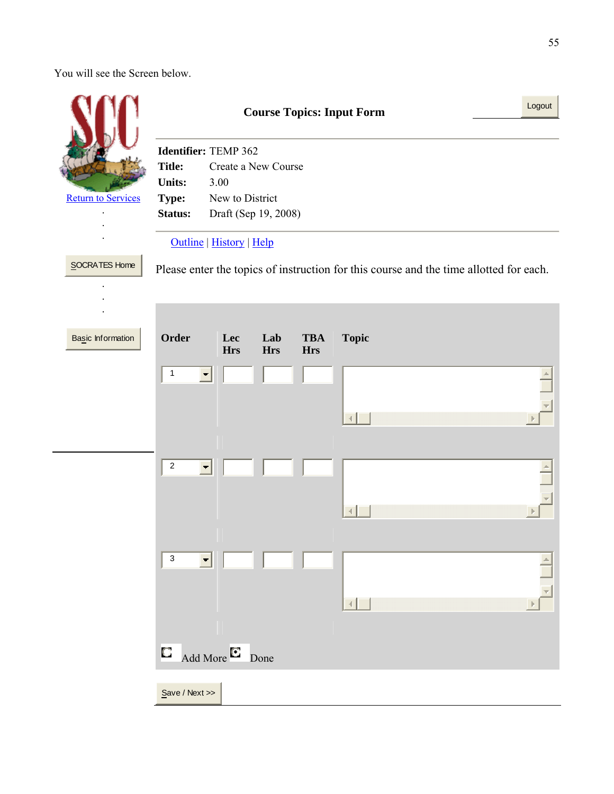You will see the Screen below.

|                           | <b>Course Topics: Input Form</b>                                                                                   | Logout |
|---------------------------|--------------------------------------------------------------------------------------------------------------------|--------|
|                           | Identifier: TEMP 362<br><b>Title:</b><br>Create a New Course<br><b>Units:</b><br>3.00                              |        |
| <b>Return to Services</b> | New to District<br>Type:<br>Draft (Sep 19, 2008)<br>Status:                                                        |        |
| SOCRATES Home             | Outline   History   Help<br>Please enter the topics of instruction for this course and the time allotted for each. |        |
| Basic Information         | Order<br>Lab<br><b>TBA</b><br><b>Topic</b><br>Lec<br><b>Hrs</b><br><b>Hrs</b><br><b>Hrs</b>                        |        |
|                           | $\mathbf{1}$<br>$\overline{\phantom{a}}$<br>4                                                                      |        |
|                           | $\overline{\mathbf{c}}$<br>$\blacktriangledown$                                                                    |        |
|                           | $\ensuremath{\mathsf{3}}$                                                                                          |        |
|                           | Add More <sup>E</sup> Done<br>C                                                                                    |        |
|                           | Save / Next                                                                                                        |        |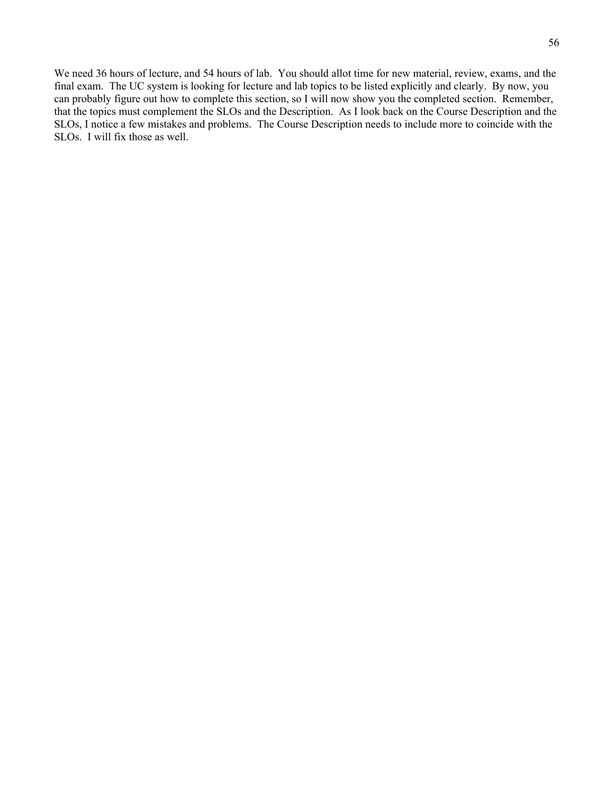We need 36 hours of lecture, and 54 hours of lab. You should allot time for new material, review, exams, and the final exam. The UC system is looking for lecture and lab topics to be listed explicitly and clearly. By now, you can probably figure out how to complete this section, so I will now show you the completed section. Remember, that the topics must complement the SLOs and the Description. As I look back on the Course Description and the SLOs, I notice a few mistakes and problems. The Course Description needs to include more to coincide with the SLOs. I will fix those as well.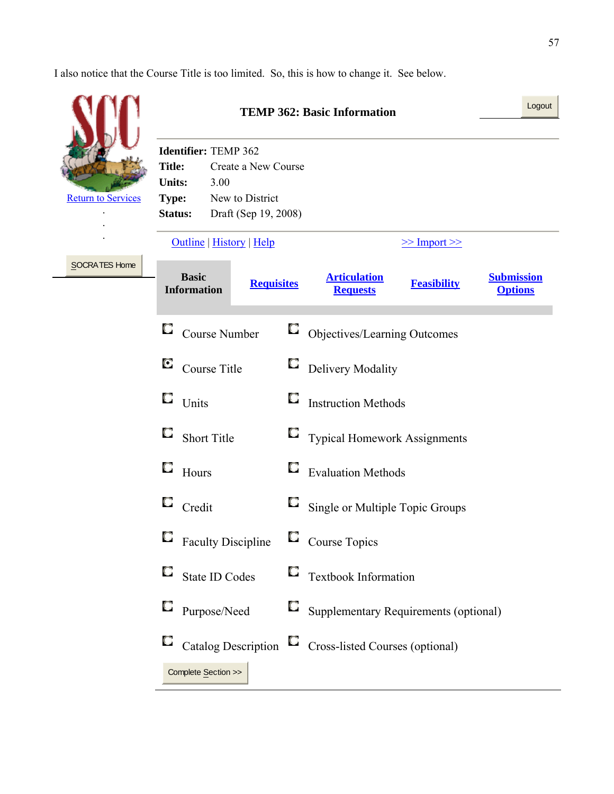I also notice that the Course Title is too limited. So, this is how to change it. See below.

|                           |                                                                                                                                                                                                | Logout<br><b>TEMP 362: Basic Information</b> |                                                                                                     |
|---------------------------|------------------------------------------------------------------------------------------------------------------------------------------------------------------------------------------------|----------------------------------------------|-----------------------------------------------------------------------------------------------------|
| <b>Return to Services</b> | Identifier: TEMP 362<br><b>Title:</b><br>Create a New Course<br><b>Units:</b><br>3.00<br>New to District<br><b>Type:</b><br>Draft (Sep 19, 2008)<br><b>Status:</b><br>Outline   History   Help |                                              | $\ge$ Import $\ge$                                                                                  |
| SOCRATES Home             | <b>Basic</b><br><b>Requisites</b><br><b>Information</b>                                                                                                                                        |                                              | <b>Articulation</b><br><b>Submission</b><br><b>Feasibility</b><br><b>Options</b><br><b>Requests</b> |
|                           | О<br>Course Number                                                                                                                                                                             | $\Box$                                       | Objectives/Learning Outcomes                                                                        |
|                           | O<br>Course Title                                                                                                                                                                              | O                                            | Delivery Modality                                                                                   |
|                           | Q<br>Units                                                                                                                                                                                     | O                                            | <b>Instruction Methods</b>                                                                          |
|                           | O<br><b>Short Title</b>                                                                                                                                                                        |                                              | $\Box$ Typical Homework Assignments                                                                 |
|                           | O<br>Hours                                                                                                                                                                                     | $\cup$                                       | <b>Evaluation Methods</b>                                                                           |
|                           | O<br>Credit                                                                                                                                                                                    | U                                            | Single or Multiple Topic Groups                                                                     |
|                           | <b>Faculty Discipline</b>                                                                                                                                                                      |                                              | Course Topics                                                                                       |
|                           | O<br>State ID Codes                                                                                                                                                                            | O                                            | Textbook Information                                                                                |
|                           | O<br>Purpose/Need                                                                                                                                                                              | O                                            | Supplementary Requirements (optional)                                                               |
|                           | O<br>Catalog Description $\Box$<br>Complete Section >>                                                                                                                                         |                                              | Cross-listed Courses (optional)                                                                     |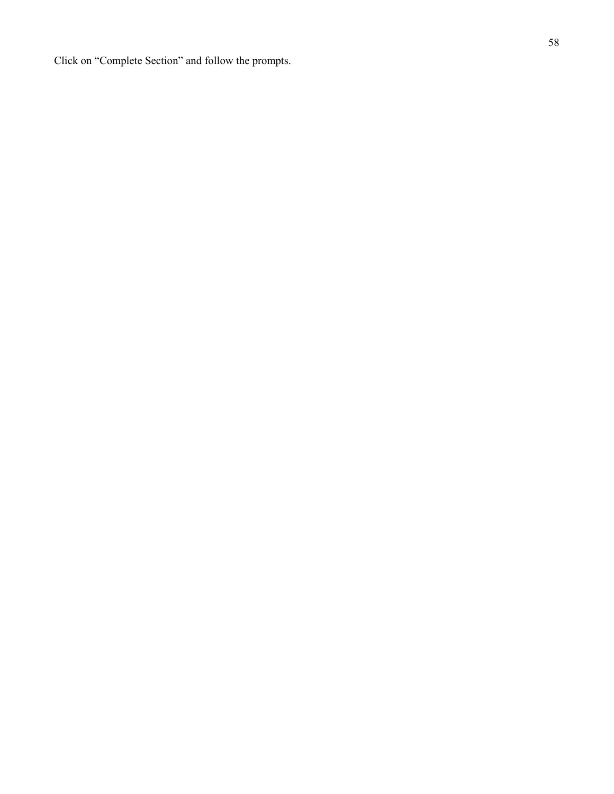Click on "Complete Section" and follow the prompts.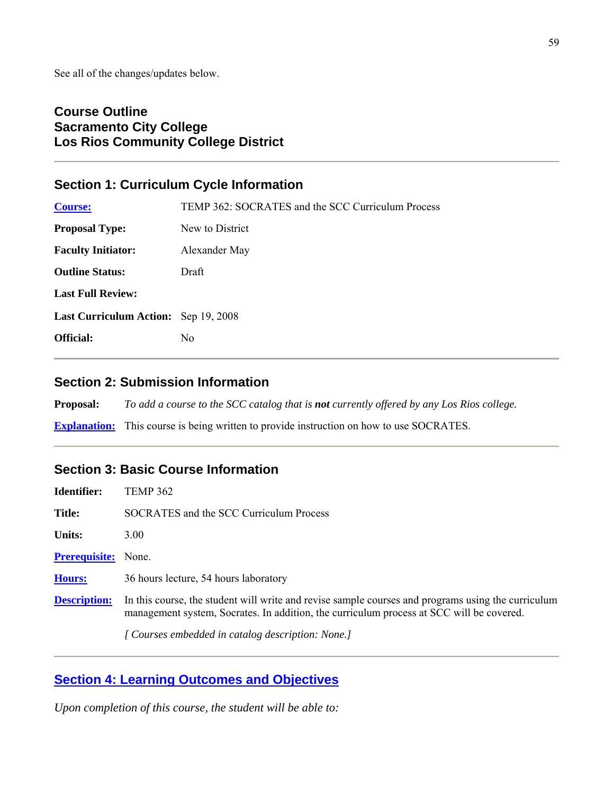# **Course Outline Sacramento City College Los Rios Community College District**

# **Section 1: Curriculum Cycle Information**

| <b>Course:</b>                              | TEMP 362: SOCRATES and the SCC Curriculum Process |
|---------------------------------------------|---------------------------------------------------|
| <b>Proposal Type:</b>                       | New to District                                   |
| <b>Faculty Initiator:</b>                   | Alexander May                                     |
| <b>Outline Status:</b>                      | Draft                                             |
| <b>Last Full Review:</b>                    |                                                   |
| <b>Last Curriculum Action:</b> Sep 19, 2008 |                                                   |
| <b>Official:</b>                            | No.                                               |
|                                             |                                                   |

# **Section 2: Submission Information**

**Proposal:** *To add a course to the SCC catalog that is not currently offered by any Los Rios college.*

**Explanation:** This course is being written to provide instruction on how to use SOCRATES.

# **Section 3: Basic Course Information**

| Identifier:          | TEMP 362                                                                                                                                                                                       |
|----------------------|------------------------------------------------------------------------------------------------------------------------------------------------------------------------------------------------|
| Title:               | SOCRATES and the SCC Curriculum Process                                                                                                                                                        |
| <b>Units:</b>        | 3.00                                                                                                                                                                                           |
| <b>Prerequisite:</b> | None.                                                                                                                                                                                          |
| <b>Hours:</b>        | 36 hours lecture, 54 hours laboratory                                                                                                                                                          |
| <b>Description:</b>  | In this course, the student will write and revise sample courses and programs using the curriculum<br>management system, Socrates. In addition, the curriculum process at SCC will be covered. |
|                      | [ Courses embedded in catalog description: None.]                                                                                                                                              |

# **Section 4: Learning Outcomes and Objectives**

*Upon completion of this course, the student will be able to:*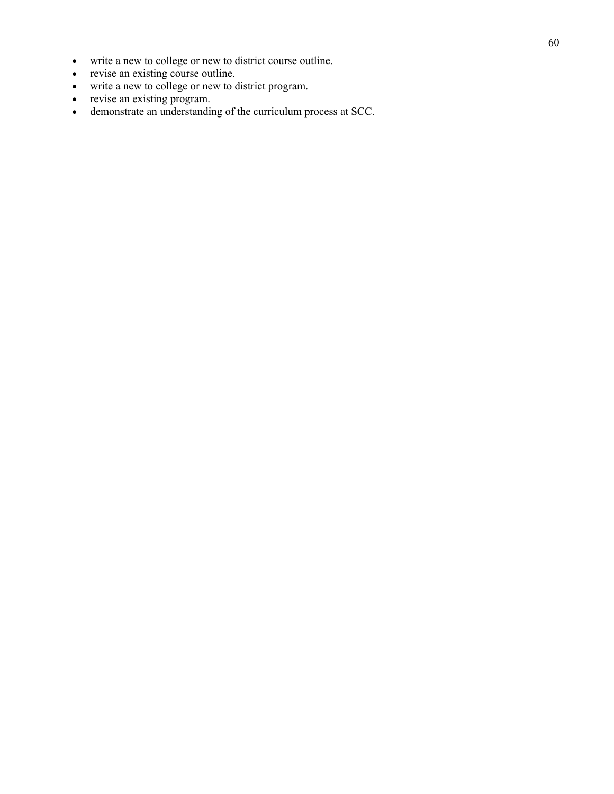- write a new to college or new to district course outline.
- revise an existing course outline.
- write a new to college or new to district program.
- revise an existing program.
- demonstrate an understanding of the curriculum process at SCC.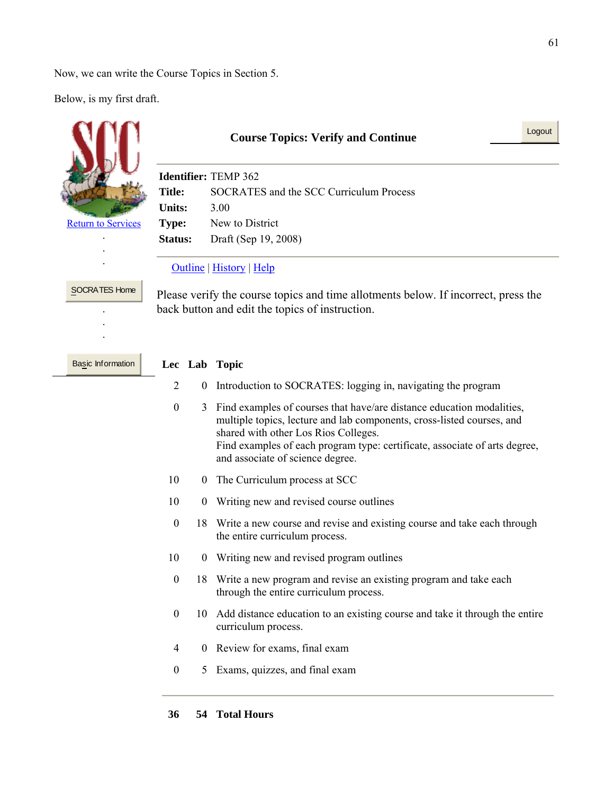Now, we can write the Course Topics in Section 5.

Below, is my first draft.

÷,

|                           | <b>Course Topics: Verify and Continue</b>                                                                                             |                      |                                                                                                                                                                                                                                                                                                           | Logout |
|---------------------------|---------------------------------------------------------------------------------------------------------------------------------------|----------------------|-----------------------------------------------------------------------------------------------------------------------------------------------------------------------------------------------------------------------------------------------------------------------------------------------------------|--------|
|                           | <b>Identifier: TEMP 362</b>                                                                                                           |                      |                                                                                                                                                                                                                                                                                                           |        |
|                           | <b>SOCRATES</b> and the SCC Curriculum Process<br><b>Title:</b>                                                                       |                      |                                                                                                                                                                                                                                                                                                           |        |
|                           | <b>Units:</b>                                                                                                                         |                      | 3.00                                                                                                                                                                                                                                                                                                      |        |
| <b>Return to Services</b> | <b>Type:</b>                                                                                                                          |                      | New to District                                                                                                                                                                                                                                                                                           |        |
|                           | Status:                                                                                                                               | Draft (Sep 19, 2008) |                                                                                                                                                                                                                                                                                                           |        |
|                           | <b>Outline</b>   History   Help                                                                                                       |                      |                                                                                                                                                                                                                                                                                                           |        |
| <b>SOCRATES Home</b>      | Please verify the course topics and time allotments below. If incorrect, press the<br>back button and edit the topics of instruction. |                      |                                                                                                                                                                                                                                                                                                           |        |
| Basic Information         |                                                                                                                                       |                      | Lec Lab Topic                                                                                                                                                                                                                                                                                             |        |
|                           | $\overline{2}$                                                                                                                        | $\mathbf{0}$         | Introduction to SOCRATES: logging in, navigating the program                                                                                                                                                                                                                                              |        |
|                           | $\boldsymbol{0}$                                                                                                                      | 3                    | Find examples of courses that have/are distance education modalities,<br>multiple topics, lecture and lab components, cross-listed courses, and<br>shared with other Los Rios Colleges.<br>Find examples of each program type: certificate, associate of arts degree,<br>and associate of science degree. |        |
|                           | 10                                                                                                                                    |                      | 0 The Curriculum process at SCC                                                                                                                                                                                                                                                                           |        |
|                           | 10                                                                                                                                    | $\theta$             | Writing new and revised course outlines                                                                                                                                                                                                                                                                   |        |
|                           | $\boldsymbol{0}$                                                                                                                      |                      | 18 Write a new course and revise and existing course and take each through<br>the entire curriculum process.                                                                                                                                                                                              |        |
|                           | 10                                                                                                                                    | $\theta$             | Writing new and revised program outlines                                                                                                                                                                                                                                                                  |        |
|                           | $\boldsymbol{0}$                                                                                                                      |                      | 18 Write a new program and revise an existing program and take each<br>through the entire curriculum process.                                                                                                                                                                                             |        |
|                           | $\boldsymbol{0}$                                                                                                                      | 10                   | Add distance education to an existing course and take it through the entire<br>curriculum process.                                                                                                                                                                                                        |        |
|                           | $\overline{4}$                                                                                                                        |                      | 0 Review for exams, final exam                                                                                                                                                                                                                                                                            |        |
|                           | $\boldsymbol{0}$                                                                                                                      |                      | 5 Exams, quizzes, and final exam                                                                                                                                                                                                                                                                          |        |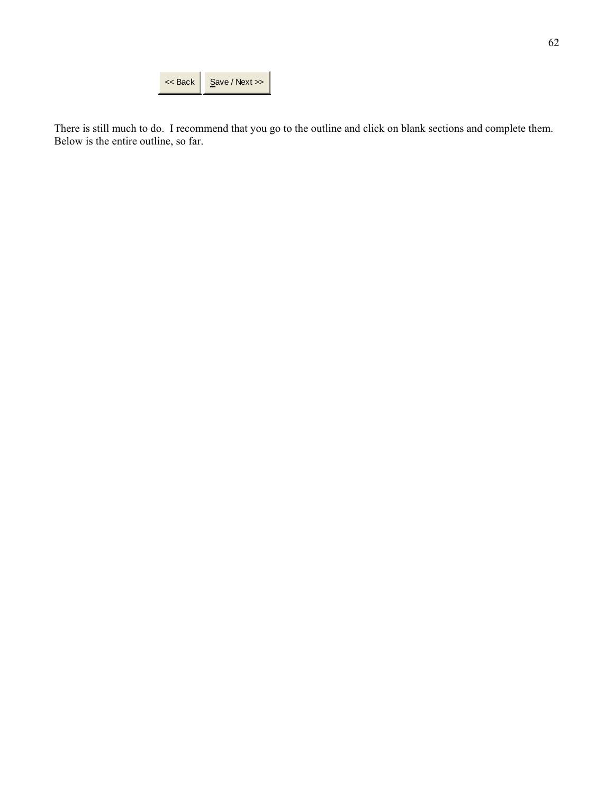| $<<$ Back | Save / Next |
|-----------|-------------|
|           |             |

There is still much to do. I recommend that you go to the outline and click on blank sections and complete them. Below is the entire outline, so far.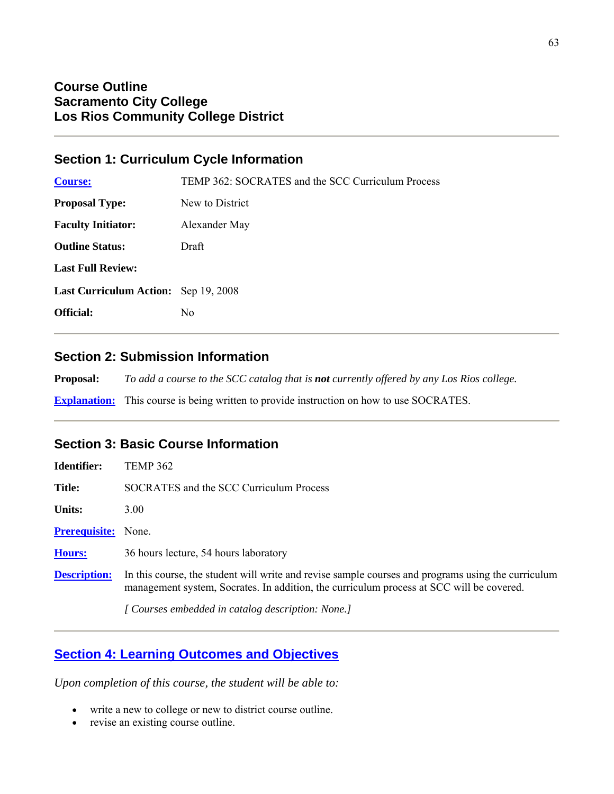## **Section 1: Curriculum Cycle Information**

| <b>Course:</b>                              | TEMP 362: SOCRATES and the SCC Curriculum Process |
|---------------------------------------------|---------------------------------------------------|
| <b>Proposal Type:</b>                       | New to District                                   |
| <b>Faculty Initiator:</b>                   | Alexander May                                     |
| <b>Outline Status:</b>                      | Draft                                             |
| <b>Last Full Review:</b>                    |                                                   |
| <b>Last Curriculum Action:</b> Sep 19, 2008 |                                                   |
| <b>Official:</b>                            | N <sub>0</sub>                                    |
|                                             |                                                   |

## **Section 2: Submission Information**

**Proposal:** *To add a course to the SCC catalog that is not currently offered by any Los Rios college.*

**Explanation:** This course is being written to provide instruction on how to use SOCRATES.

# **Section 3: Basic Course Information**

| Identifier:          | <b>TEMP 362</b>                                                                                                                                                                                |
|----------------------|------------------------------------------------------------------------------------------------------------------------------------------------------------------------------------------------|
| <b>Title:</b>        | SOCRATES and the SCC Curriculum Process                                                                                                                                                        |
| <b>Units:</b>        | 3.00                                                                                                                                                                                           |
| <b>Prerequisite:</b> | None.                                                                                                                                                                                          |
| Hours:               | 36 hours lecture, 54 hours laboratory                                                                                                                                                          |
| <b>Description:</b>  | In this course, the student will write and revise sample courses and programs using the curriculum<br>management system, Socrates. In addition, the curriculum process at SCC will be covered. |
|                      | [ Courses embedded in catalog description: None.]                                                                                                                                              |

# **Section 4: Learning Outcomes and Objectives**

*Upon completion of this course, the student will be able to:*

- write a new to college or new to district course outline.
- revise an existing course outline.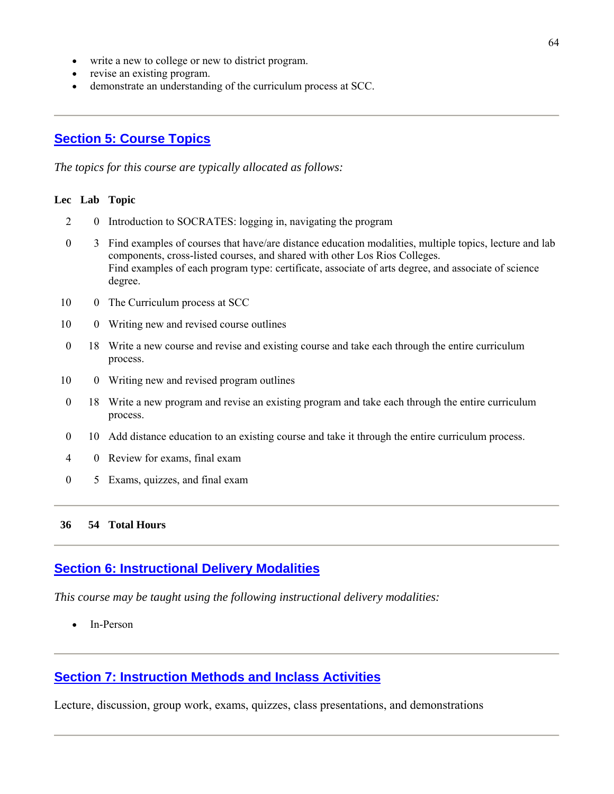- write a new to college or new to district program.
- revise an existing program.
- demonstrate an understanding of the curriculum process at SCC.

# **Section 5: Course Topics**

*The topics for this course are typically allocated as follows:*

#### **Lec Lab Topic**

- 2 0 Introduction to SOCRATES: logging in, navigating the program
- 0 3 Find examples of courses that have/are distance education modalities, multiple topics, lecture and lab components, cross-listed courses, and shared with other Los Rios Colleges. Find examples of each program type: certificate, associate of arts degree, and associate of science degree.
- 10 0 The Curriculum process at SCC
- 10 0 Writing new and revised course outlines
- 0 18 Write a new course and revise and existing course and take each through the entire curriculum process.
- 10 0 Writing new and revised program outlines
- 0 18 Write a new program and revise an existing program and take each through the entire curriculum process.
- 0 10 Add distance education to an existing course and take it through the entire curriculum process.
- 4 0 Review for exams, final exam
- 0 5 Exams, quizzes, and final exam

#### **36 54 Total Hours**

### **Section 6: Instructional Delivery Modalities**

*This course may be taught using the following instructional delivery modalities:*

In-Person

# **Section 7: Instruction Methods and Inclass Activities**

Lecture, discussion, group work, exams, quizzes, class presentations, and demonstrations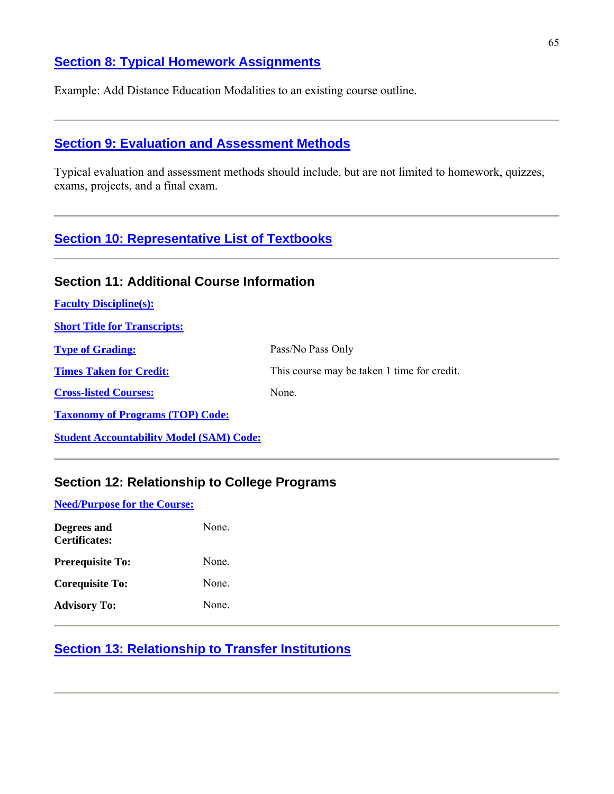# **Section 8: Typical Homework Assignments**

Example: Add Distance Education Modalities to an existing course outline.

## **Section 9: Evaluation and Assessment Methods**

Typical evaluation and assessment methods should include, but are not limited to homework, quizzes, exams, projects, and a final exam.

# **Section 10: Representative List of Textbooks**

# **Section 11: Additional Course Information**

| <b>Faculty Discipline(s):</b>                   |                                             |
|-------------------------------------------------|---------------------------------------------|
| <b>Short Title for Transcripts:</b>             |                                             |
| <b>Type of Grading:</b>                         | Pass/No Pass Only                           |
| <b>Times Taken for Credit:</b>                  | This course may be taken 1 time for credit. |
| <b>Cross-listed Courses:</b>                    | None.                                       |
| <b>Taxonomy of Programs (TOP) Code:</b>         |                                             |
| <b>Student Accountability Model (SAM) Code:</b> |                                             |

# **Section 12: Relationship to College Programs**

**Need/Purpose for the Course:**

| Degrees and<br><b>Certificates:</b> | None  |
|-------------------------------------|-------|
| <b>Prerequisite To:</b>             | None  |
| <b>Corequisite To:</b>              | None. |
| <b>Advisory To:</b>                 | None  |

# **Section 13: Relationship to Transfer Institutions**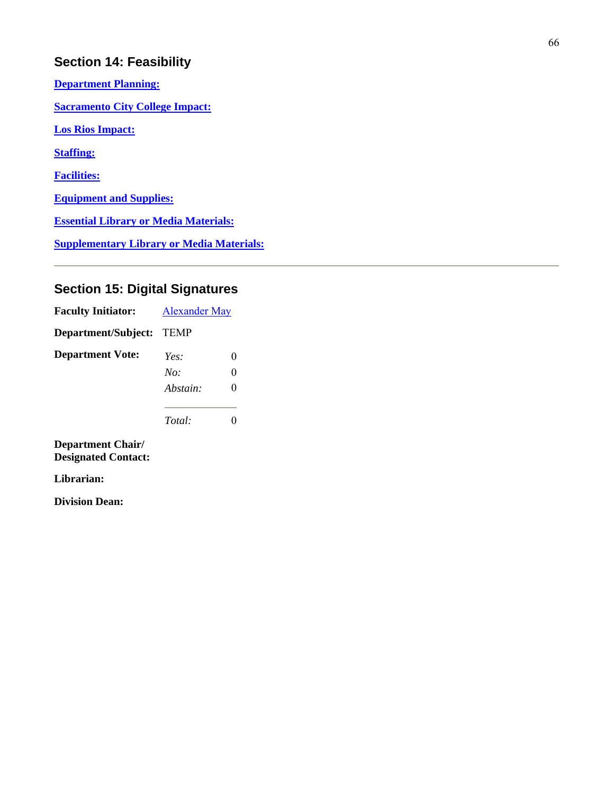# **Section 14: Feasibility**

**Department Planning: Sacramento City College Impact: Los Rios Impact: Staffing: Facilities: Equipment and Supplies: Essential Library or Media Materials: Supplementary Library or Media Materials:**

# **Section 15: Digital Signatures**

| <b>Faculty Initiator:</b> | <b>Alexander May</b> |  |
|---------------------------|----------------------|--|
| Department/Subject:       | <b>TEMP</b>          |  |
| <b>Department Vote:</b>   | Yes:                 |  |
|                           | No:                  |  |
|                           | Abstain:             |  |
|                           | Total:               |  |

**Department Chair/ Designated Contact:**

**Librarian:**

**Division Dean:**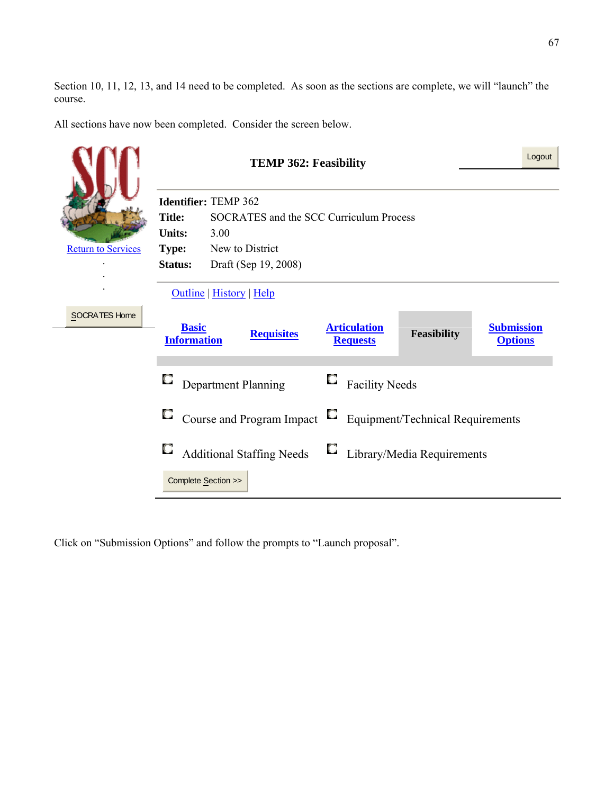Section 10, 11, 12, 13, and 14 need to be completed. As soon as the sections are complete, we will "launch" the course.

All sections have now been completed. Consider the screen below.

|                           | <b>TEMP 362: Feasibility</b>                             |                                  |                   | Logout |                                        |                                         |                                     |
|---------------------------|----------------------------------------------------------|----------------------------------|-------------------|--------|----------------------------------------|-----------------------------------------|-------------------------------------|
|                           | Identifier: TEMP 362                                     |                                  |                   |        |                                        |                                         |                                     |
|                           | <b>Title:</b><br>SOCRATES and the SCC Curriculum Process |                                  |                   |        |                                        |                                         |                                     |
|                           | <b>Units:</b><br>3.00                                    |                                  |                   |        |                                        |                                         |                                     |
| <b>Return to Services</b> | New to District<br><b>Type:</b>                          |                                  |                   |        |                                        |                                         |                                     |
|                           | <b>Status:</b>                                           | Draft (Sep 19, 2008)             |                   |        |                                        |                                         |                                     |
|                           |                                                          | Outline   History   Help         |                   |        |                                        |                                         |                                     |
| <b>SOCRATES Home</b>      | <b>Basic</b><br><b>Information</b>                       |                                  | <b>Requisites</b> |        | <b>Articulation</b><br><b>Requests</b> | <b>Feasibility</b>                      | <b>Submission</b><br><b>Options</b> |
|                           |                                                          | Department Planning              |                   |        | <b>Facility Needs</b>                  |                                         |                                     |
|                           | U                                                        | Course and Program Impact        |                   | U      |                                        | <b>Equipment/Technical Requirements</b> |                                     |
|                           |                                                          | <b>Additional Staffing Needs</b> |                   |        |                                        | Library/Media Requirements              |                                     |
|                           |                                                          | Complete Section >>              |                   |        |                                        |                                         |                                     |

Click on "Submission Options" and follow the prompts to "Launch proposal".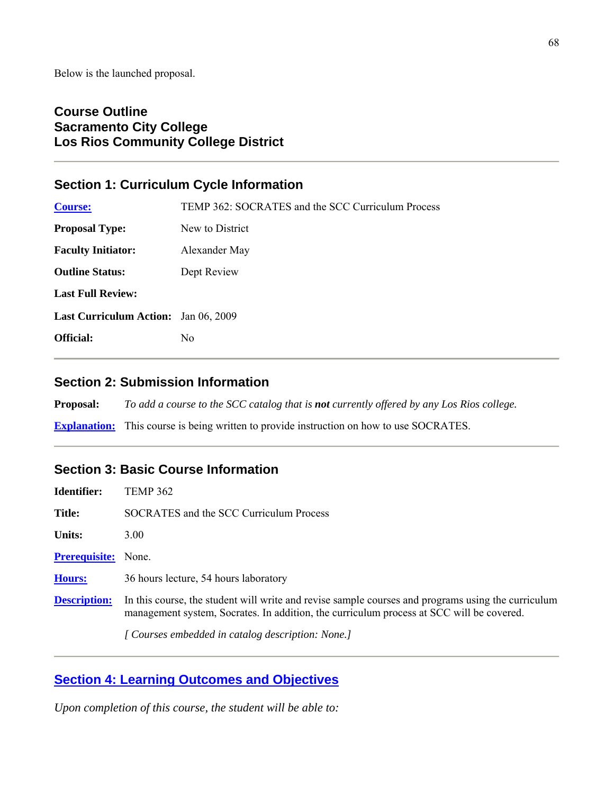# **Course Outline Sacramento City College Los Rios Community College District**

# **Section 1: Curriculum Cycle Information**

| <b>Course:</b>                       | TEMP 362: SOCRATES and the SCC Curriculum Process |  |
|--------------------------------------|---------------------------------------------------|--|
| <b>Proposal Type:</b>                | New to District                                   |  |
| <b>Faculty Initiator:</b>            | Alexander May                                     |  |
| <b>Outline Status:</b>               | Dept Review                                       |  |
| <b>Last Full Review:</b>             |                                                   |  |
| Last Curriculum Action: Jan 06, 2009 |                                                   |  |
| <b>Official:</b>                     | N <sub>0</sub>                                    |  |

# **Section 2: Submission Information**

**Proposal:** *To add a course to the SCC catalog that is not currently offered by any Los Rios college.*

**Explanation:** This course is being written to provide instruction on how to use SOCRATES.

# **Section 3: Basic Course Information**

| Identifier:          | TEMP 362                                                                                                                                                                                       |
|----------------------|------------------------------------------------------------------------------------------------------------------------------------------------------------------------------------------------|
| Title:               | SOCRATES and the SCC Curriculum Process                                                                                                                                                        |
| <b>Units:</b>        | 3.00                                                                                                                                                                                           |
| <b>Prerequisite:</b> | None.                                                                                                                                                                                          |
| <b>Hours:</b>        | 36 hours lecture, 54 hours laboratory                                                                                                                                                          |
| <b>Description:</b>  | In this course, the student will write and revise sample courses and programs using the curriculum<br>management system, Socrates. In addition, the curriculum process at SCC will be covered. |
|                      | [ Courses embedded in catalog description: None.]                                                                                                                                              |

# **Section 4: Learning Outcomes and Objectives**

*Upon completion of this course, the student will be able to:*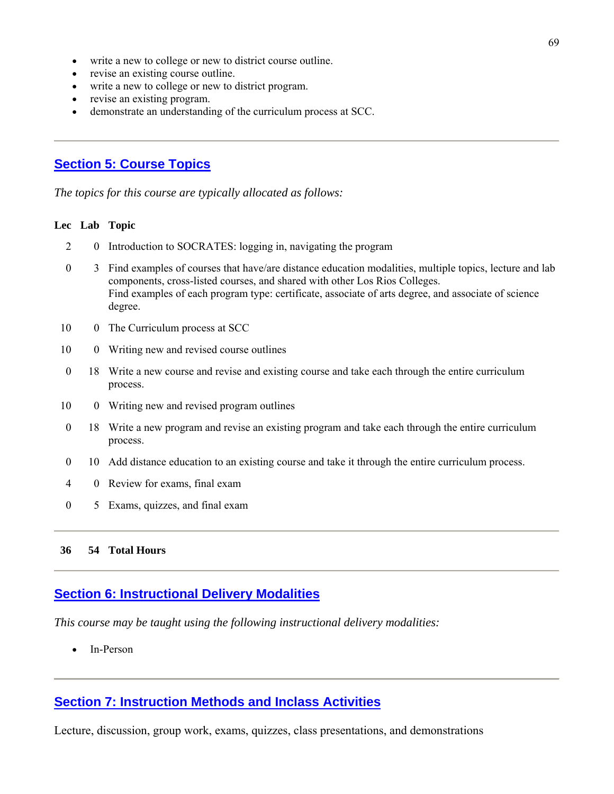- write a new to college or new to district course outline.
- revise an existing course outline.
- write a new to college or new to district program.
- revise an existing program.
- demonstrate an understanding of the curriculum process at SCC.

# **Section 5: Course Topics**

*The topics for this course are typically allocated as follows:*

#### **Lec Lab Topic**

- 2 0 Introduction to SOCRATES: logging in, navigating the program
- 0 3 Find examples of courses that have/are distance education modalities, multiple topics, lecture and lab components, cross-listed courses, and shared with other Los Rios Colleges. Find examples of each program type: certificate, associate of arts degree, and associate of science degree.
- 10 0 The Curriculum process at SCC
- 10 0 Writing new and revised course outlines
- 0 18 Write a new course and revise and existing course and take each through the entire curriculum process.
- 10 0 Writing new and revised program outlines
- 0 18 Write a new program and revise an existing program and take each through the entire curriculum process.
- 0 10 Add distance education to an existing course and take it through the entire curriculum process.
- 4 0 Review for exams, final exam
- 0 5 Exams, quizzes, and final exam

#### **36 54 Total Hours**

### **Section 6: Instructional Delivery Modalities**

*This course may be taught using the following instructional delivery modalities:*

• In-Person

### **Section 7: Instruction Methods and Inclass Activities**

Lecture, discussion, group work, exams, quizzes, class presentations, and demonstrations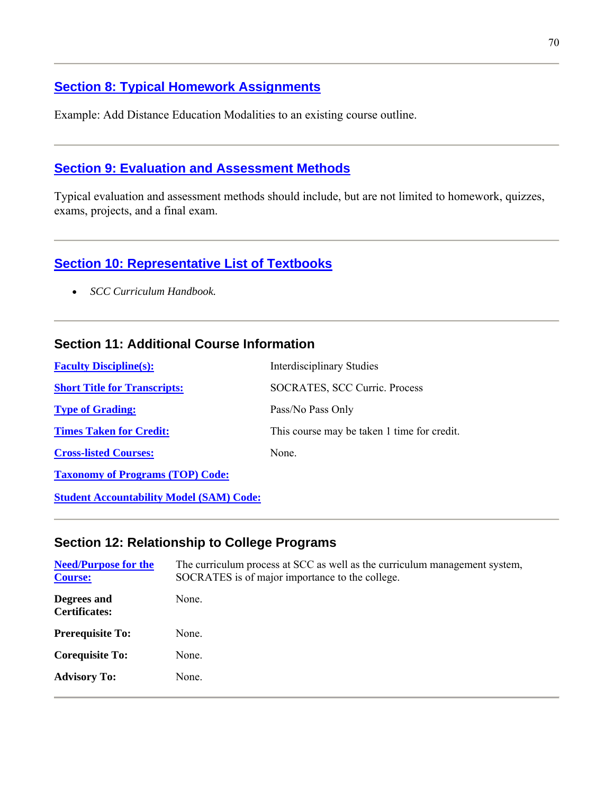# **Section 8: Typical Homework Assignments**

Example: Add Distance Education Modalities to an existing course outline.

## **Section 9: Evaluation and Assessment Methods**

Typical evaluation and assessment methods should include, but are not limited to homework, quizzes, exams, projects, and a final exam.

# **Section 10: Representative List of Textbooks**

• *SCC Curriculum Handbook.*

## **Section 11: Additional Course Information**

| <b>Faculty Discipline(s):</b>                   | <b>Interdisciplinary Studies</b>            |
|-------------------------------------------------|---------------------------------------------|
| <b>Short Title for Transcripts:</b>             | SOCRATES, SCC Curric. Process               |
| <b>Type of Grading:</b>                         | Pass/No Pass Only                           |
| <b>Times Taken for Credit:</b>                  | This course may be taken 1 time for credit. |
| <b>Cross-listed Courses:</b>                    | None.                                       |
| <b>Taxonomy of Programs (TOP) Code:</b>         |                                             |
| <b>Student Accountability Model (SAM) Code:</b> |                                             |

## **Section 12: Relationship to College Programs**

| <b>Need/Purpose for the</b><br><b>Course:</b> | The curriculum process at SCC as well as the curriculum management system,<br>SOCRATES is of major importance to the college. |
|-----------------------------------------------|-------------------------------------------------------------------------------------------------------------------------------|
| Degrees and<br><b>Certificates:</b>           | None.                                                                                                                         |
| <b>Prerequisite To:</b>                       | None.                                                                                                                         |
| <b>Corequisite To:</b>                        | None.                                                                                                                         |
| <b>Advisory To:</b>                           | None.                                                                                                                         |